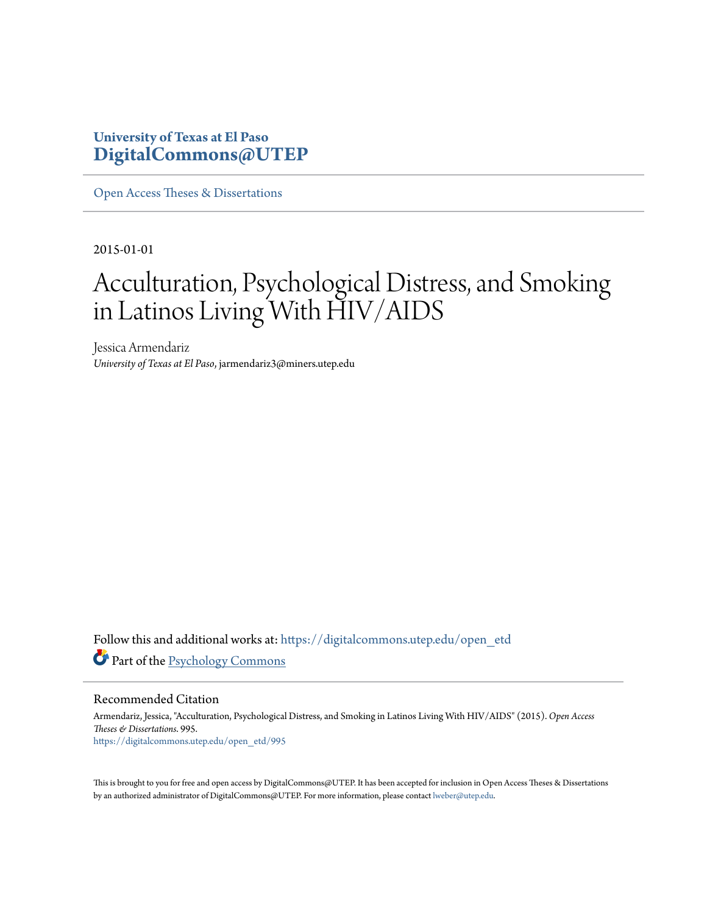## **University of Texas at El Paso [DigitalCommons@UTEP](https://digitalcommons.utep.edu/?utm_source=digitalcommons.utep.edu%2Fopen_etd%2F995&utm_medium=PDF&utm_campaign=PDFCoverPages)**

[Open Access Theses & Dissertations](https://digitalcommons.utep.edu/open_etd?utm_source=digitalcommons.utep.edu%2Fopen_etd%2F995&utm_medium=PDF&utm_campaign=PDFCoverPages)

2015-01-01

# Acculturation, Psychological Distress, and Smoking in Latinos Living With HIV/AIDS

Jessica Armendariz *University of Texas at El Paso*, jarmendariz3@miners.utep.edu

Follow this and additional works at: [https://digitalcommons.utep.edu/open\\_etd](https://digitalcommons.utep.edu/open_etd?utm_source=digitalcommons.utep.edu%2Fopen_etd%2F995&utm_medium=PDF&utm_campaign=PDFCoverPages) Part of the [Psychology Commons](http://network.bepress.com/hgg/discipline/404?utm_source=digitalcommons.utep.edu%2Fopen_etd%2F995&utm_medium=PDF&utm_campaign=PDFCoverPages)

Recommended Citation

Armendariz, Jessica, "Acculturation, Psychological Distress, and Smoking in Latinos Living With HIV/AIDS" (2015). *Open Access Theses & Dissertations*. 995. [https://digitalcommons.utep.edu/open\\_etd/995](https://digitalcommons.utep.edu/open_etd/995?utm_source=digitalcommons.utep.edu%2Fopen_etd%2F995&utm_medium=PDF&utm_campaign=PDFCoverPages)

This is brought to you for free and open access by DigitalCommons@UTEP. It has been accepted for inclusion in Open Access Theses & Dissertations by an authorized administrator of DigitalCommons@UTEP. For more information, please contact [lweber@utep.edu.](mailto:lweber@utep.edu)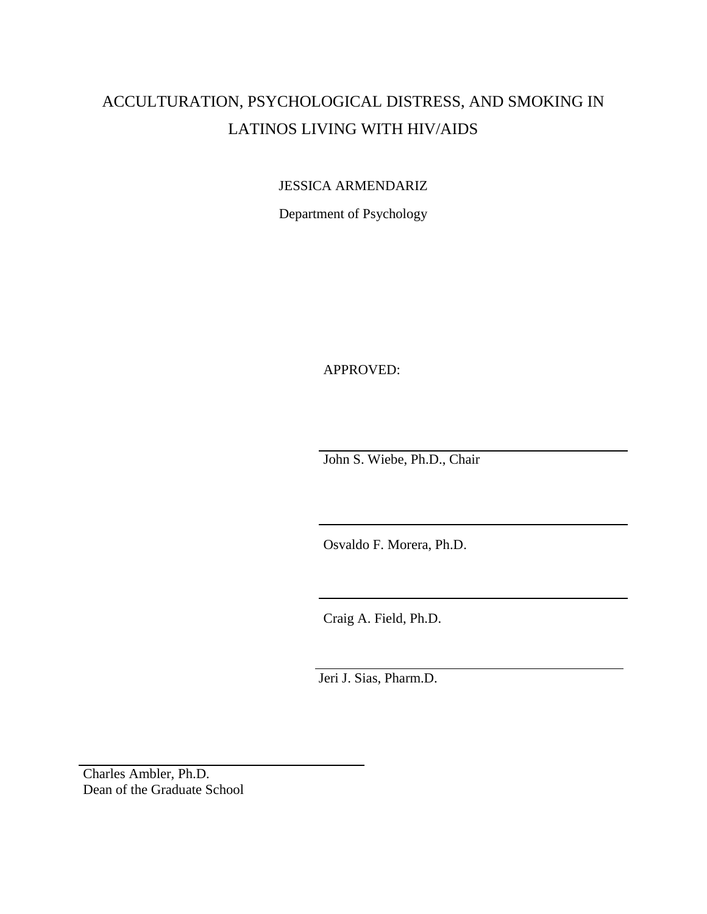## ACCULTURATION, PSYCHOLOGICAL DISTRESS, AND SMOKING IN LATINOS LIVING WITH HIV/AIDS

## JESSICA ARMENDARIZ

Department of Psychology

APPROVED:

John S. Wiebe, Ph.D., Chair

Osvaldo F. Morera, Ph.D.

Craig A. Field, Ph.D.

Jeri J. Sias, Pharm.D.

Charles Ambler, Ph.D. Dean of the Graduate School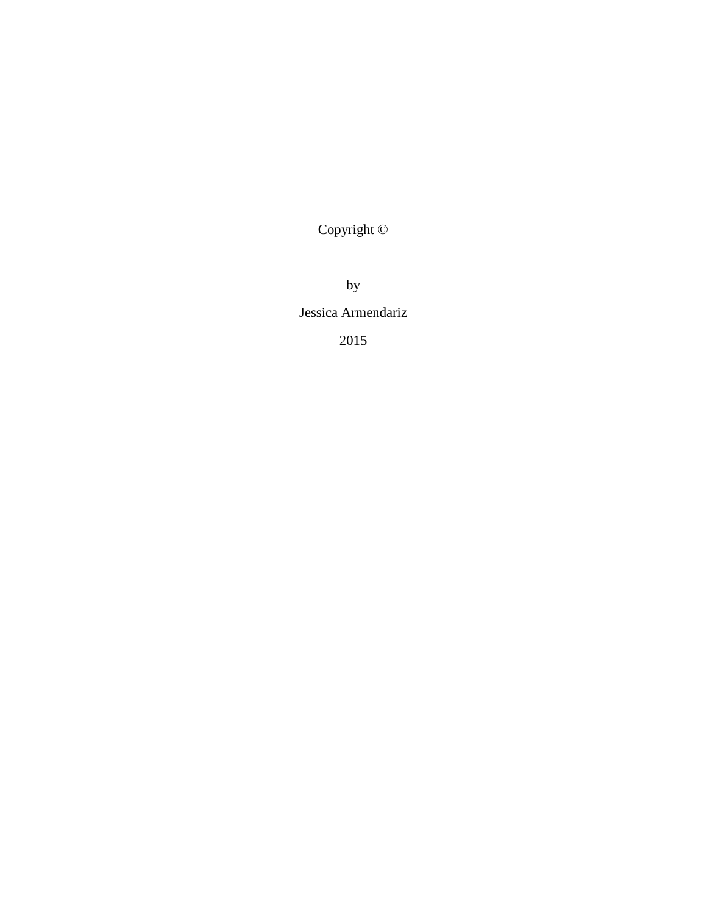Copyright ©

by

## Jessica Armendariz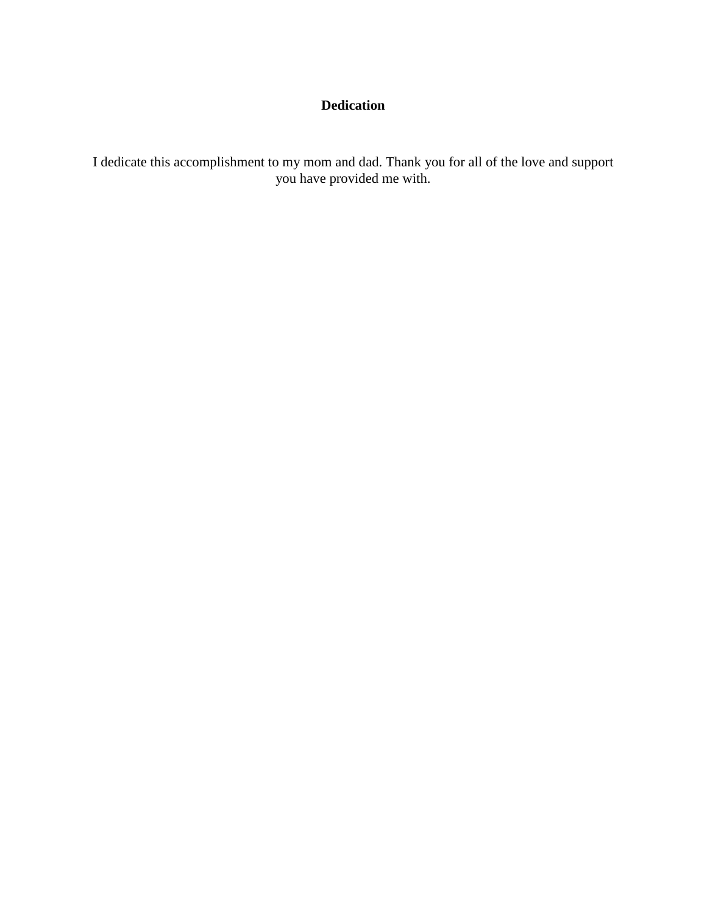## **Dedication**

I dedicate this accomplishment to my mom and dad. Thank you for all of the love and support you have provided me with.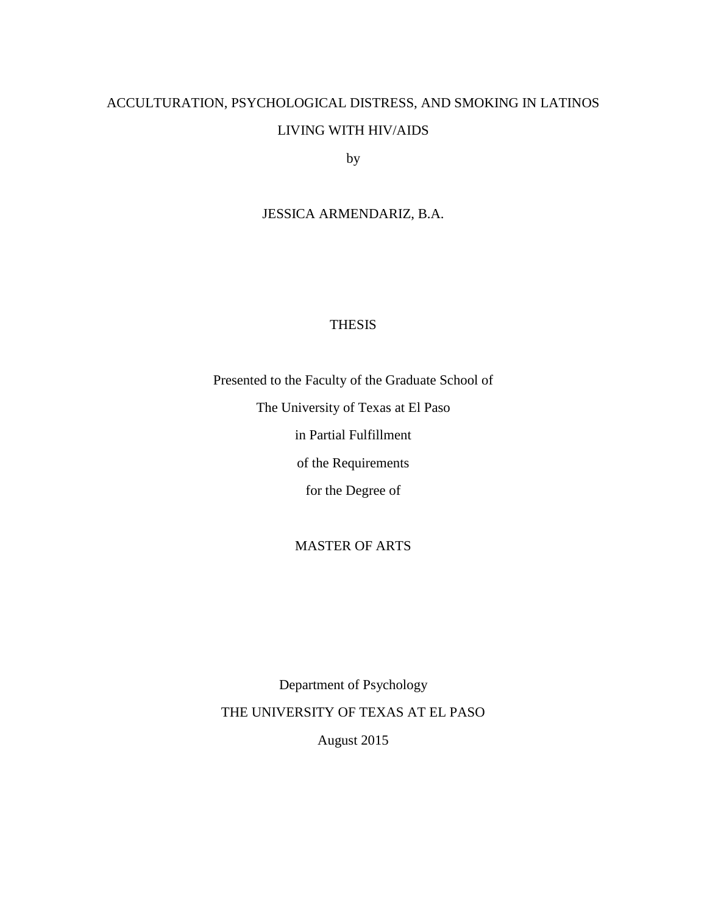## ACCULTURATION, PSYCHOLOGICAL DISTRESS, AND SMOKING IN LATINOS LIVING WITH HIV/AIDS

by

## JESSICA ARMENDARIZ, B.A.

## THESIS

Presented to the Faculty of the Graduate School of The University of Texas at El Paso in Partial Fulfillment of the Requirements for the Degree of

## MASTER OF ARTS

Department of Psychology THE UNIVERSITY OF TEXAS AT EL PASO August 2015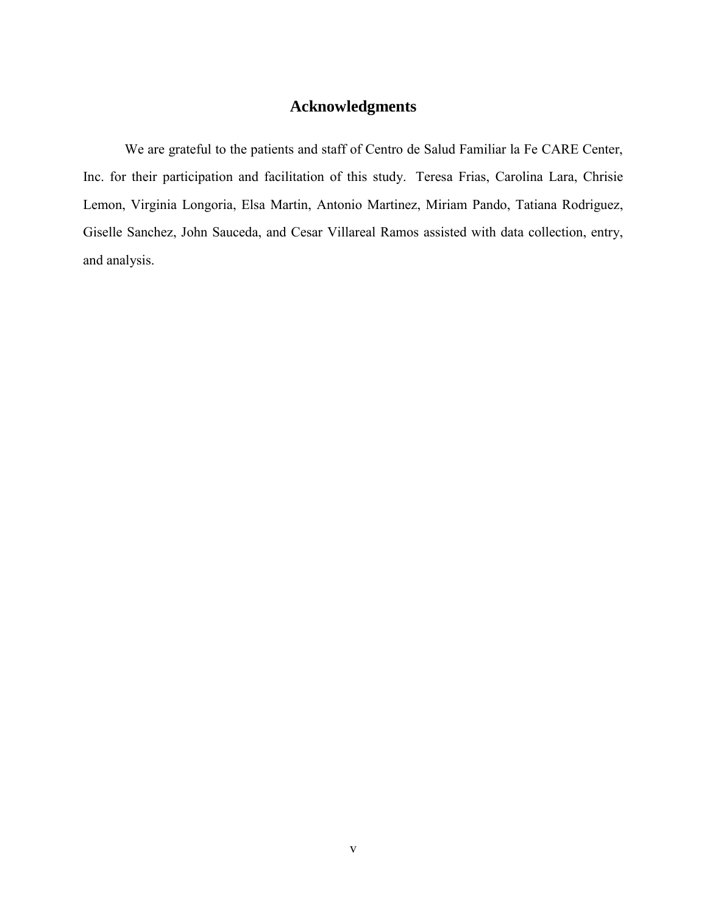## **Acknowledgments**

We are grateful to the patients and staff of Centro de Salud Familiar la Fe CARE Center, Inc. for their participation and facilitation of this study. Teresa Frias, Carolina Lara, Chrisie Lemon, Virginia Longoria, Elsa Martin, Antonio Martinez, Miriam Pando, Tatiana Rodriguez, Giselle Sanchez, John Sauceda, and Cesar Villareal Ramos assisted with data collection, entry, and analysis.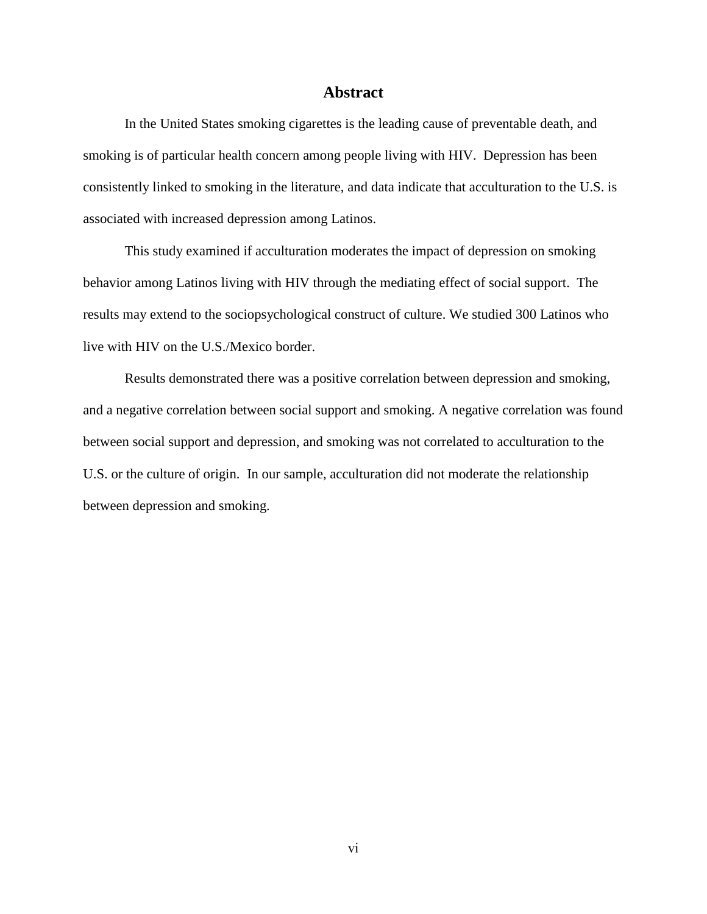## **Abstract**

In the United States smoking cigarettes is the leading cause of preventable death, and smoking is of particular health concern among people living with HIV. Depression has been consistently linked to smoking in the literature, and data indicate that acculturation to the U.S. is associated with increased depression among Latinos.

This study examined if acculturation moderates the impact of depression on smoking behavior among Latinos living with HIV through the mediating effect of social support. The results may extend to the sociopsychological construct of culture. We studied 300 Latinos who live with HIV on the U.S./Mexico border.

Results demonstrated there was a positive correlation between depression and smoking, and a negative correlation between social support and smoking. A negative correlation was found between social support and depression, and smoking was not correlated to acculturation to the U.S. or the culture of origin. In our sample, acculturation did not moderate the relationship between depression and smoking.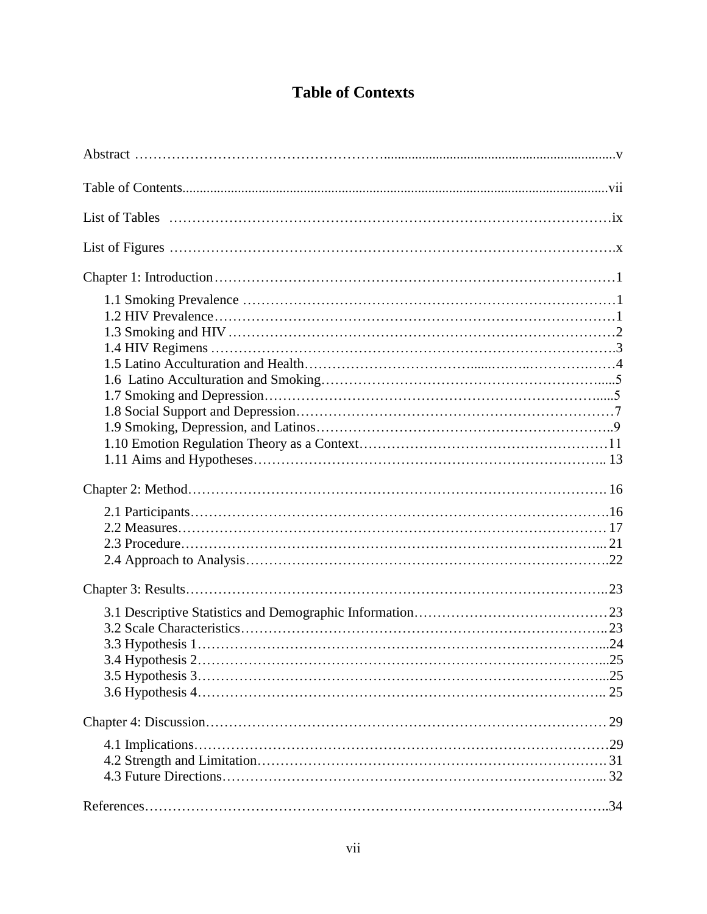## **Table of Contexts**

| . 25 |  |
|------|--|
|      |  |
|      |  |
|      |  |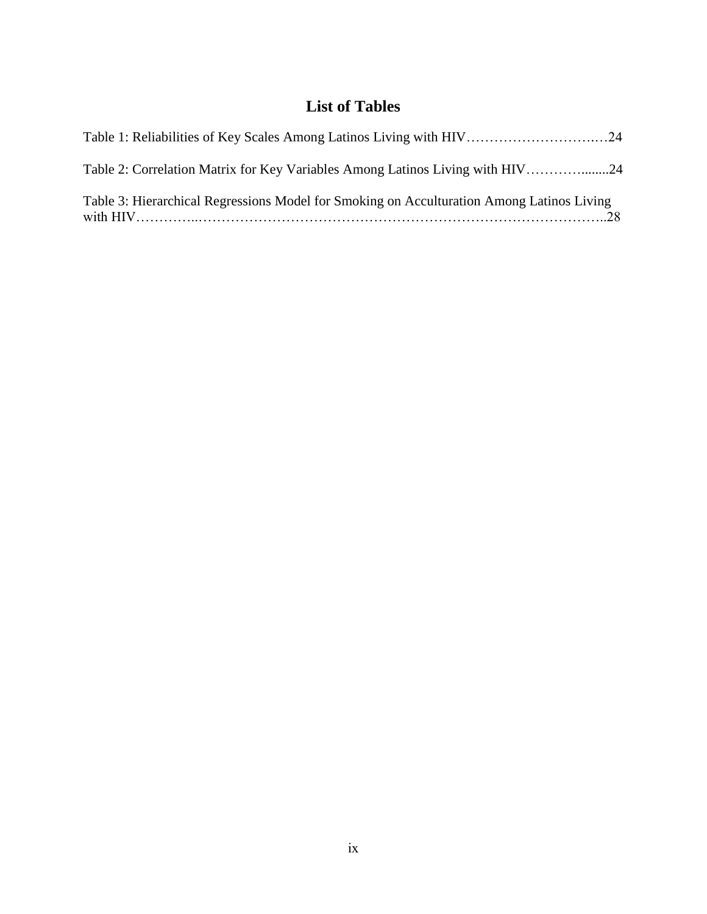## **List of Tables**

| Table 1: Reliabilities of Key Scales Among Latinos Living with HIV24                      |  |
|-------------------------------------------------------------------------------------------|--|
| Table 2: Correlation Matrix for Key Variables Among Latinos Living with HIV24             |  |
| Table 3: Hierarchical Regressions Model for Smoking on Acculturation Among Latinos Living |  |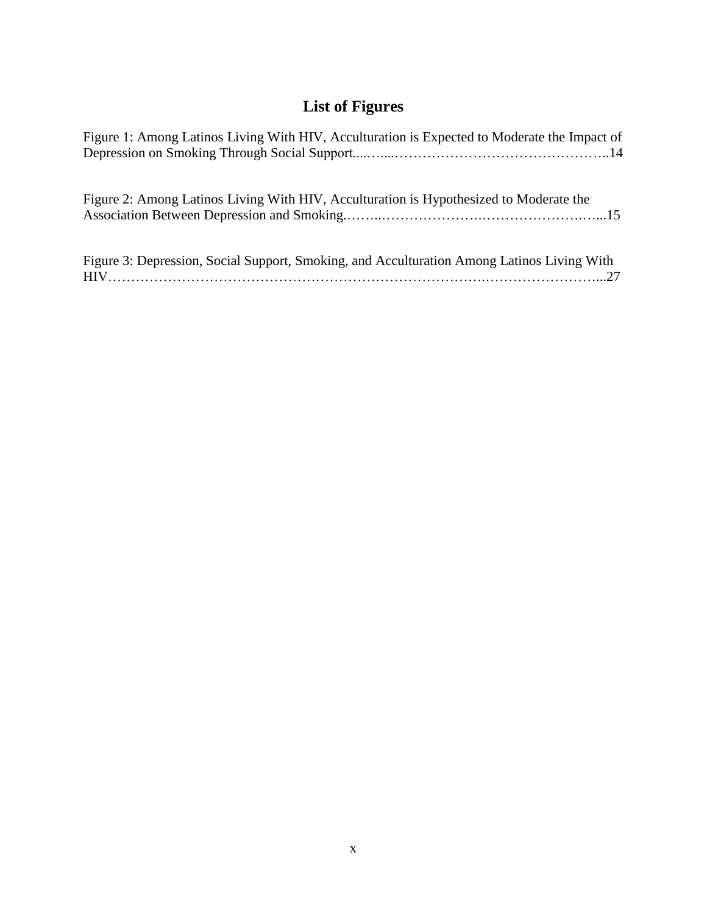## **List of Figures**

| Figure 1: Among Latinos Living With HIV, Acculturation is Expected to Moderate the Impact of |
|----------------------------------------------------------------------------------------------|
| Figure 2: Among Latinos Living With HIV, Acculturation is Hypothesized to Moderate the       |
| Figure 3: Depression, Social Support, Smoking, and Acculturation Among Latinos Living With   |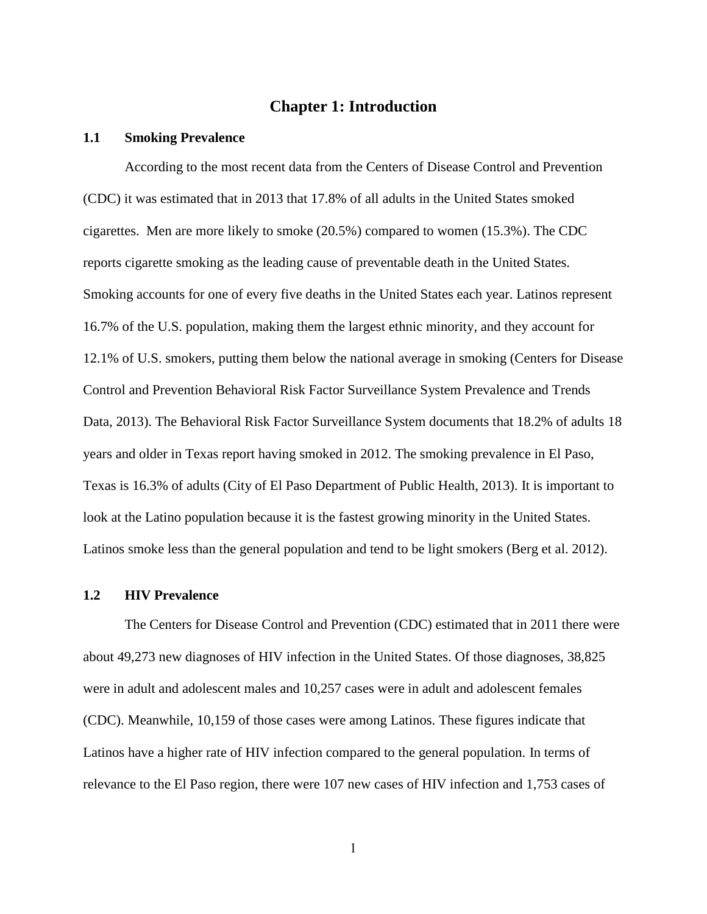## **Chapter 1: Introduction**

#### **1.1 Smoking Prevalence**

According to the most recent data from the Centers of Disease Control and Prevention (CDC) it was estimated that in 2013 that 17.8% of all adults in the United States smoked cigarettes. Men are more likely to smoke (20.5%) compared to women (15.3%). The CDC reports cigarette smoking as the leading cause of preventable death in the United States. Smoking accounts for one of every five deaths in the United States each year. Latinos represent 16.7% of the U.S. population, making them the largest ethnic minority, and they account for 12.1% of U.S. smokers, putting them below the national average in smoking (Centers for Disease Control and Prevention Behavioral Risk Factor Surveillance System Prevalence and Trends Data, 2013). The Behavioral Risk Factor Surveillance System documents that 18.2% of adults 18 years and older in Texas report having smoked in 2012. The smoking prevalence in El Paso, Texas is 16.3% of adults (City of El Paso Department of Public Health, 2013). It is important to look at the Latino population because it is the fastest growing minority in the United States. Latinos smoke less than the general population and tend to be light smokers (Berg et al. 2012).

#### **1.2 HIV Prevalence**

The Centers for Disease Control and Prevention (CDC) estimated that in 2011 there were about 49,273 new diagnoses of HIV infection in the United States. Of those diagnoses, 38,825 were in adult and adolescent males and 10,257 cases were in adult and adolescent females (CDC). Meanwhile, 10,159 of those cases were among Latinos. These figures indicate that Latinos have a higher rate of HIV infection compared to the general population. In terms of relevance to the El Paso region, there were 107 new cases of HIV infection and 1,753 cases of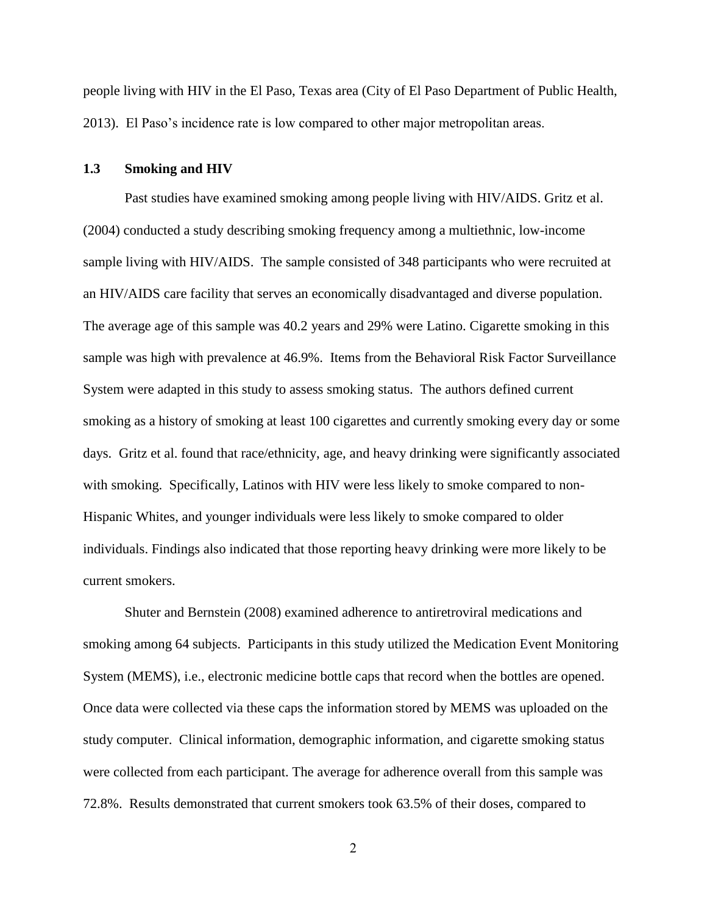people living with HIV in the El Paso, Texas area (City of El Paso Department of Public Health, 2013). El Paso's incidence rate is low compared to other major metropolitan areas.

### **1.3 Smoking and HIV**

Past studies have examined smoking among people living with HIV/AIDS. Gritz et al. (2004) conducted a study describing smoking frequency among a multiethnic, low-income sample living with HIV/AIDS. The sample consisted of 348 participants who were recruited at an HIV/AIDS care facility that serves an economically disadvantaged and diverse population. The average age of this sample was 40.2 years and 29% were Latino. Cigarette smoking in this sample was high with prevalence at 46.9%. Items from the Behavioral Risk Factor Surveillance System were adapted in this study to assess smoking status. The authors defined current smoking as a history of smoking at least 100 cigarettes and currently smoking every day or some days. Gritz et al. found that race/ethnicity, age, and heavy drinking were significantly associated with smoking. Specifically, Latinos with HIV were less likely to smoke compared to non-Hispanic Whites, and younger individuals were less likely to smoke compared to older individuals. Findings also indicated that those reporting heavy drinking were more likely to be current smokers.

Shuter and Bernstein (2008) examined adherence to antiretroviral medications and smoking among 64 subjects. Participants in this study utilized the Medication Event Monitoring System (MEMS), i.e., electronic medicine bottle caps that record when the bottles are opened. Once data were collected via these caps the information stored by MEMS was uploaded on the study computer. Clinical information, demographic information, and cigarette smoking status were collected from each participant. The average for adherence overall from this sample was 72.8%. Results demonstrated that current smokers took 63.5% of their doses, compared to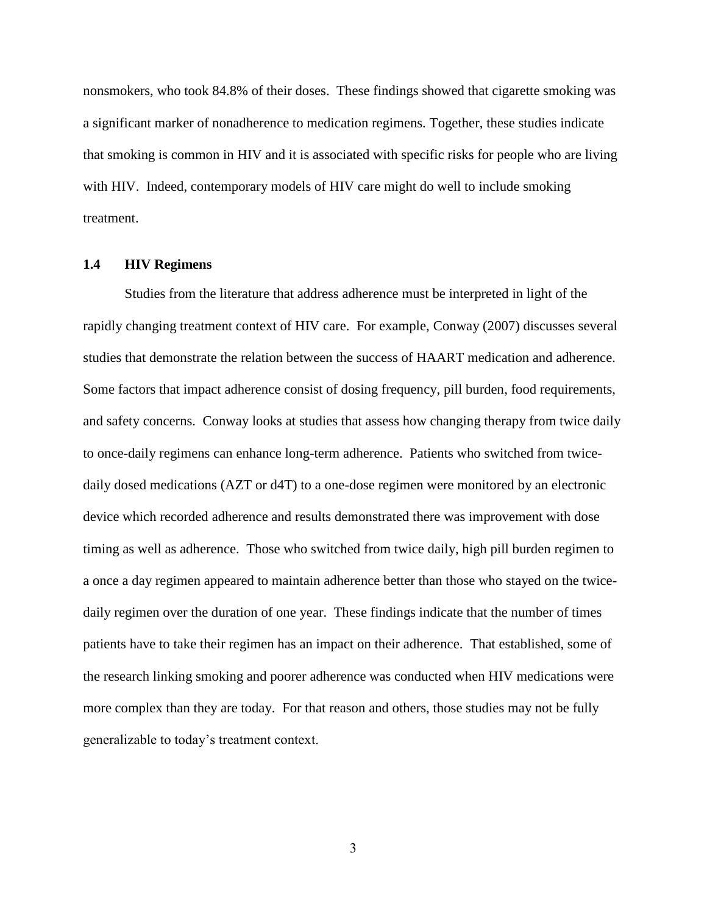nonsmokers, who took 84.8% of their doses. These findings showed that cigarette smoking was a significant marker of nonadherence to medication regimens. Together, these studies indicate that smoking is common in HIV and it is associated with specific risks for people who are living with HIV. Indeed, contemporary models of HIV care might do well to include smoking treatment.

## **1.4 HIV Regimens**

Studies from the literature that address adherence must be interpreted in light of the rapidly changing treatment context of HIV care. For example, Conway (2007) discusses several studies that demonstrate the relation between the success of HAART medication and adherence. Some factors that impact adherence consist of dosing frequency, pill burden, food requirements, and safety concerns. Conway looks at studies that assess how changing therapy from twice daily to once-daily regimens can enhance long-term adherence. Patients who switched from twicedaily dosed medications (AZT or d4T) to a one-dose regimen were monitored by an electronic device which recorded adherence and results demonstrated there was improvement with dose timing as well as adherence. Those who switched from twice daily, high pill burden regimen to a once a day regimen appeared to maintain adherence better than those who stayed on the twicedaily regimen over the duration of one year. These findings indicate that the number of times patients have to take their regimen has an impact on their adherence. That established, some of the research linking smoking and poorer adherence was conducted when HIV medications were more complex than they are today. For that reason and others, those studies may not be fully generalizable to today's treatment context.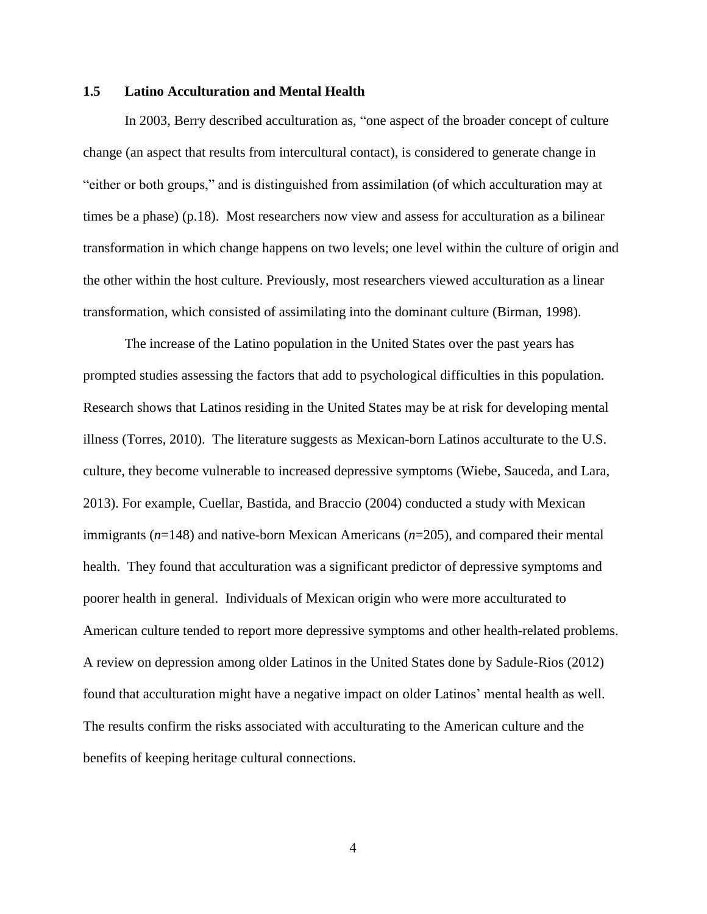## **1.5 Latino Acculturation and Mental Health**

In 2003, Berry described acculturation as, "one aspect of the broader concept of culture change (an aspect that results from intercultural contact), is considered to generate change in "either or both groups," and is distinguished from assimilation (of which acculturation may at times be a phase) (p.18). Most researchers now view and assess for acculturation as a bilinear transformation in which change happens on two levels; one level within the culture of origin and the other within the host culture. Previously, most researchers viewed acculturation as a linear transformation, which consisted of assimilating into the dominant culture (Birman, 1998).

The increase of the Latino population in the United States over the past years has prompted studies assessing the factors that add to psychological difficulties in this population. Research shows that Latinos residing in the United States may be at risk for developing mental illness (Torres, 2010). The literature suggests as Mexican-born Latinos acculturate to the U.S. culture, they become vulnerable to increased depressive symptoms (Wiebe, Sauceda, and Lara, 2013). For example, Cuellar, Bastida, and Braccio (2004) conducted a study with Mexican immigrants (*n*=148) and native-born Mexican Americans (*n*=205), and compared their mental health. They found that acculturation was a significant predictor of depressive symptoms and poorer health in general. Individuals of Mexican origin who were more acculturated to American culture tended to report more depressive symptoms and other health-related problems. A review on depression among older Latinos in the United States done by Sadule-Rios (2012) found that acculturation might have a negative impact on older Latinos' mental health as well. The results confirm the risks associated with acculturating to the American culture and the benefits of keeping heritage cultural connections.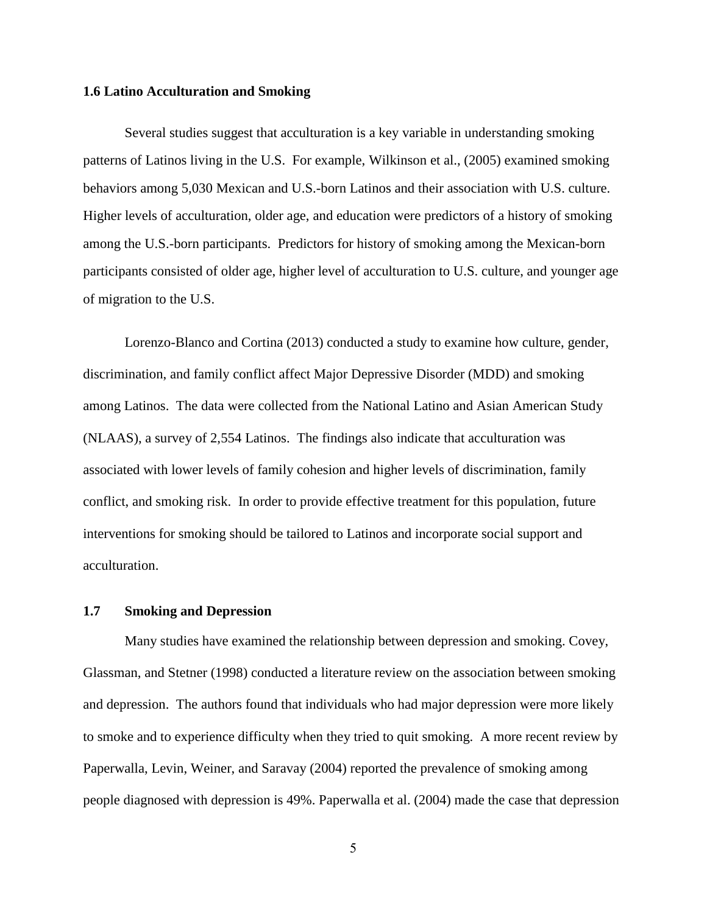#### **1.6 Latino Acculturation and Smoking**

Several studies suggest that acculturation is a key variable in understanding smoking patterns of Latinos living in the U.S. For example, Wilkinson et al., (2005) examined smoking behaviors among 5,030 Mexican and U.S.-born Latinos and their association with U.S. culture. Higher levels of acculturation, older age, and education were predictors of a history of smoking among the U.S.-born participants. Predictors for history of smoking among the Mexican-born participants consisted of older age, higher level of acculturation to U.S. culture, and younger age of migration to the U.S.

Lorenzo-Blanco and Cortina (2013) conducted a study to examine how culture, gender, discrimination, and family conflict affect Major Depressive Disorder (MDD) and smoking among Latinos. The data were collected from the National Latino and Asian American Study (NLAAS), a survey of 2,554 Latinos. The findings also indicate that acculturation was associated with lower levels of family cohesion and higher levels of discrimination, family conflict, and smoking risk. In order to provide effective treatment for this population, future interventions for smoking should be tailored to Latinos and incorporate social support and acculturation.

## **1.7 Smoking and Depression**

Many studies have examined the relationship between depression and smoking. Covey, Glassman, and Stetner (1998) conducted a literature review on the association between smoking and depression. The authors found that individuals who had major depression were more likely to smoke and to experience difficulty when they tried to quit smoking. A more recent review by Paperwalla, Levin, Weiner, and Saravay (2004) reported the prevalence of smoking among people diagnosed with depression is 49%. Paperwalla et al. (2004) made the case that depression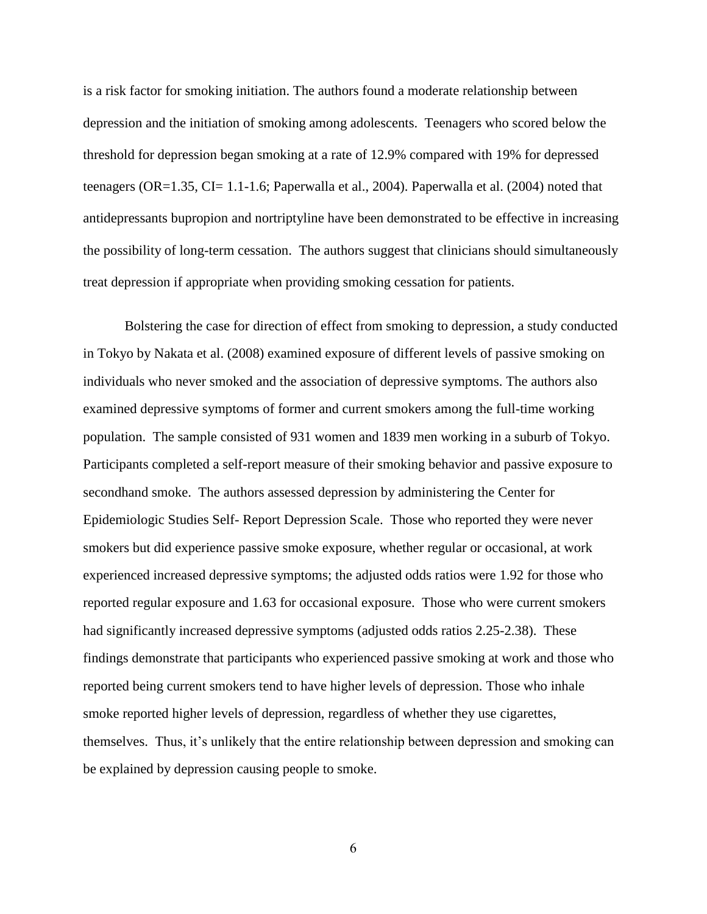is a risk factor for smoking initiation. The authors found a moderate relationship between depression and the initiation of smoking among adolescents. Teenagers who scored below the threshold for depression began smoking at a rate of 12.9% compared with 19% for depressed teenagers (OR=1.35, CI= 1.1-1.6; Paperwalla et al., 2004). Paperwalla et al. (2004) noted that antidepressants bupropion and nortriptyline have been demonstrated to be effective in increasing the possibility of long-term cessation. The authors suggest that clinicians should simultaneously treat depression if appropriate when providing smoking cessation for patients.

Bolstering the case for direction of effect from smoking to depression, a study conducted in Tokyo by Nakata et al. (2008) examined exposure of different levels of passive smoking on individuals who never smoked and the association of depressive symptoms. The authors also examined depressive symptoms of former and current smokers among the full-time working population. The sample consisted of 931 women and 1839 men working in a suburb of Tokyo. Participants completed a self-report measure of their smoking behavior and passive exposure to secondhand smoke. The authors assessed depression by administering the Center for Epidemiologic Studies Self- Report Depression Scale. Those who reported they were never smokers but did experience passive smoke exposure, whether regular or occasional, at work experienced increased depressive symptoms; the adjusted odds ratios were 1.92 for those who reported regular exposure and 1.63 for occasional exposure. Those who were current smokers had significantly increased depressive symptoms (adjusted odds ratios 2.25-2.38). These findings demonstrate that participants who experienced passive smoking at work and those who reported being current smokers tend to have higher levels of depression. Those who inhale smoke reported higher levels of depression, regardless of whether they use cigarettes, themselves. Thus, it's unlikely that the entire relationship between depression and smoking can be explained by depression causing people to smoke.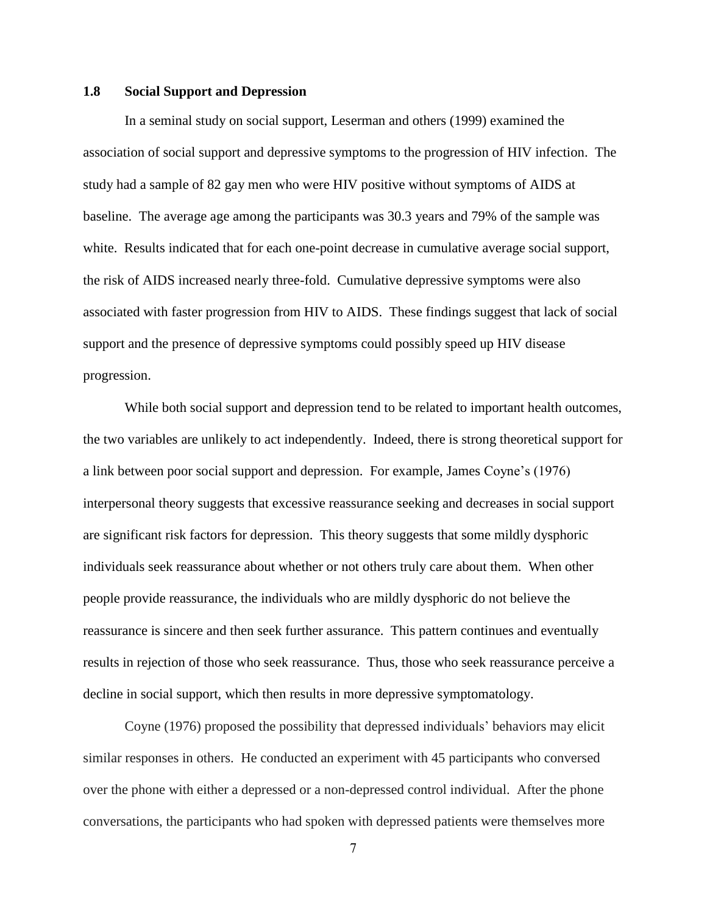## **1.8 Social Support and Depression**

In a seminal study on social support, Leserman and others (1999) examined the association of social support and depressive symptoms to the progression of HIV infection. The study had a sample of 82 gay men who were HIV positive without symptoms of AIDS at baseline. The average age among the participants was 30.3 years and 79% of the sample was white. Results indicated that for each one-point decrease in cumulative average social support, the risk of AIDS increased nearly three-fold. Cumulative depressive symptoms were also associated with faster progression from HIV to AIDS. These findings suggest that lack of social support and the presence of depressive symptoms could possibly speed up HIV disease progression.

While both social support and depression tend to be related to important health outcomes, the two variables are unlikely to act independently. Indeed, there is strong theoretical support for a link between poor social support and depression. For example, James Coyne's (1976) interpersonal theory suggests that excessive reassurance seeking and decreases in social support are significant risk factors for depression. This theory suggests that some mildly dysphoric individuals seek reassurance about whether or not others truly care about them. When other people provide reassurance, the individuals who are mildly dysphoric do not believe the reassurance is sincere and then seek further assurance. This pattern continues and eventually results in rejection of those who seek reassurance. Thus, those who seek reassurance perceive a decline in social support, which then results in more depressive symptomatology.

Coyne (1976) proposed the possibility that depressed individuals' behaviors may elicit similar responses in others. He conducted an experiment with 45 participants who conversed over the phone with either a depressed or a non-depressed control individual. After the phone conversations, the participants who had spoken with depressed patients were themselves more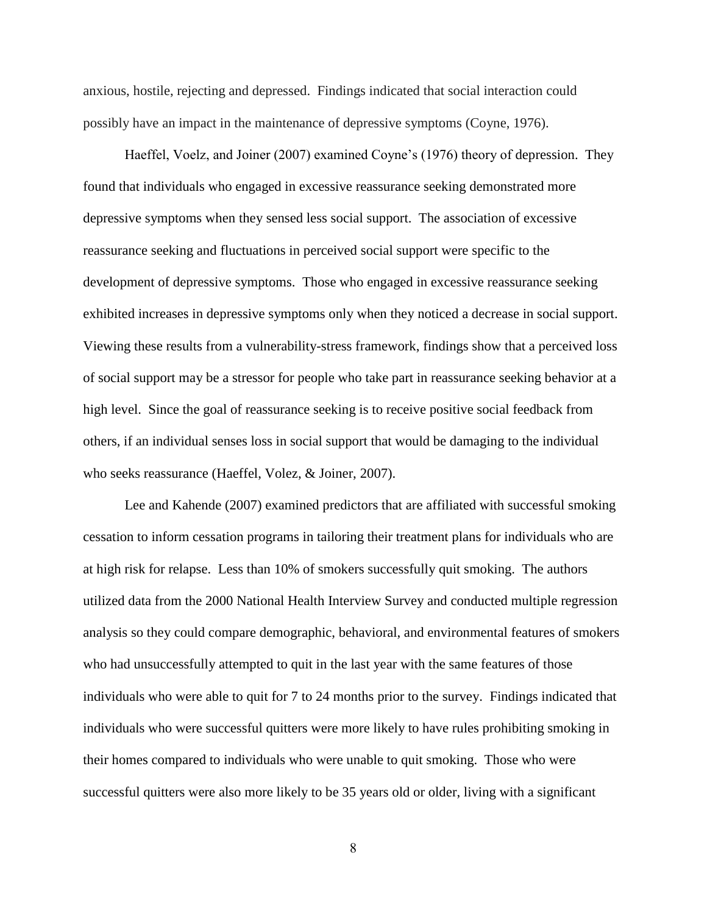anxious, hostile, rejecting and depressed. Findings indicated that social interaction could possibly have an impact in the maintenance of depressive symptoms (Coyne, 1976).

Haeffel, Voelz, and Joiner (2007) examined Coyne's (1976) theory of depression. They found that individuals who engaged in excessive reassurance seeking demonstrated more depressive symptoms when they sensed less social support. The association of excessive reassurance seeking and fluctuations in perceived social support were specific to the development of depressive symptoms. Those who engaged in excessive reassurance seeking exhibited increases in depressive symptoms only when they noticed a decrease in social support. Viewing these results from a vulnerability-stress framework, findings show that a perceived loss of social support may be a stressor for people who take part in reassurance seeking behavior at a high level. Since the goal of reassurance seeking is to receive positive social feedback from others, if an individual senses loss in social support that would be damaging to the individual who seeks reassurance (Haeffel, Volez, & Joiner, 2007).

Lee and Kahende (2007) examined predictors that are affiliated with successful smoking cessation to inform cessation programs in tailoring their treatment plans for individuals who are at high risk for relapse. Less than 10% of smokers successfully quit smoking. The authors utilized data from the 2000 National Health Interview Survey and conducted multiple regression analysis so they could compare demographic, behavioral, and environmental features of smokers who had unsuccessfully attempted to quit in the last year with the same features of those individuals who were able to quit for 7 to 24 months prior to the survey. Findings indicated that individuals who were successful quitters were more likely to have rules prohibiting smoking in their homes compared to individuals who were unable to quit smoking. Those who were successful quitters were also more likely to be 35 years old or older, living with a significant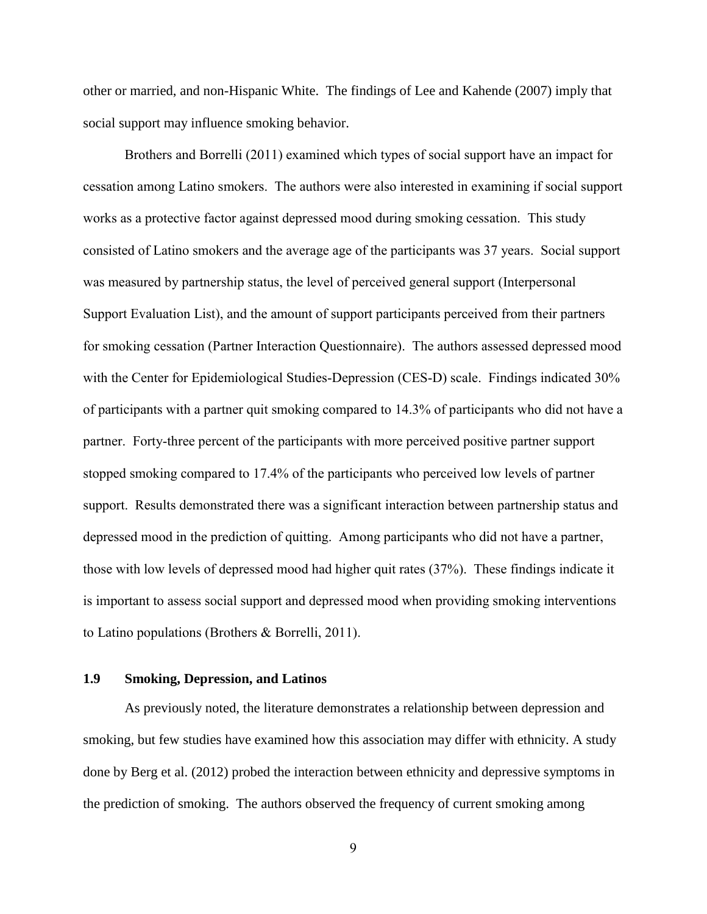other or married, and non-Hispanic White. The findings of Lee and Kahende (2007) imply that social support may influence smoking behavior.

Brothers and Borrelli (2011) examined which types of social support have an impact for cessation among Latino smokers. The authors were also interested in examining if social support works as a protective factor against depressed mood during smoking cessation. This study consisted of Latino smokers and the average age of the participants was 37 years. Social support was measured by partnership status, the level of perceived general support (Interpersonal Support Evaluation List), and the amount of support participants perceived from their partners for smoking cessation (Partner Interaction Questionnaire). The authors assessed depressed mood with the Center for Epidemiological Studies-Depression (CES-D) scale. Findings indicated 30% of participants with a partner quit smoking compared to 14.3% of participants who did not have a partner. Forty-three percent of the participants with more perceived positive partner support stopped smoking compared to 17.4% of the participants who perceived low levels of partner support. Results demonstrated there was a significant interaction between partnership status and depressed mood in the prediction of quitting. Among participants who did not have a partner, those with low levels of depressed mood had higher quit rates (37%). These findings indicate it is important to assess social support and depressed mood when providing smoking interventions to Latino populations (Brothers & Borrelli, 2011).

## **1.9 Smoking, Depression, and Latinos**

As previously noted, the literature demonstrates a relationship between depression and smoking, but few studies have examined how this association may differ with ethnicity. A study done by Berg et al. (2012) probed the interaction between ethnicity and depressive symptoms in the prediction of smoking. The authors observed the frequency of current smoking among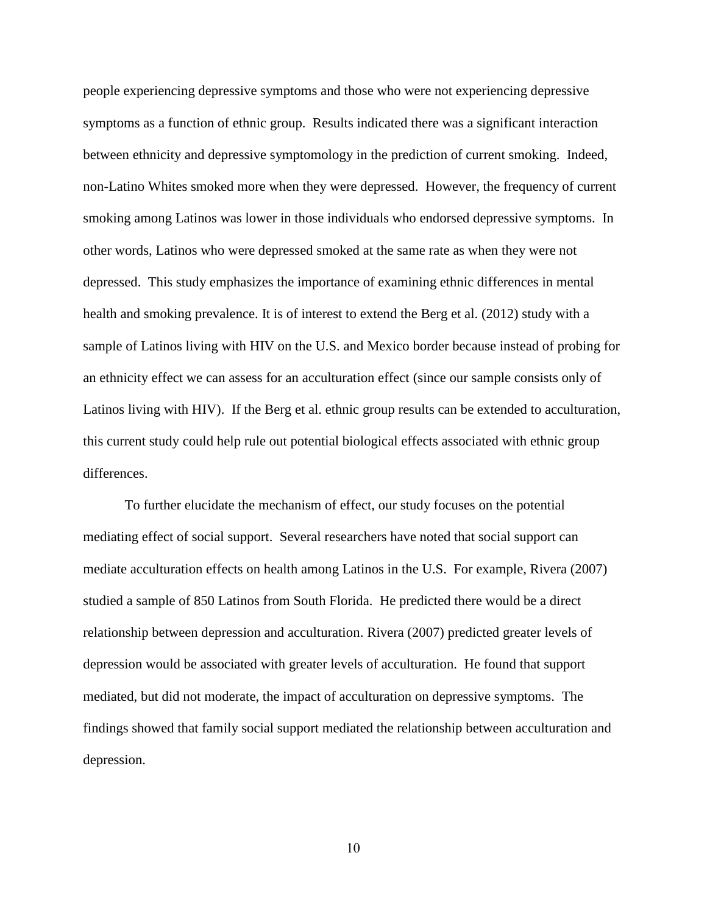people experiencing depressive symptoms and those who were not experiencing depressive symptoms as a function of ethnic group. Results indicated there was a significant interaction between ethnicity and depressive symptomology in the prediction of current smoking. Indeed, non-Latino Whites smoked more when they were depressed. However, the frequency of current smoking among Latinos was lower in those individuals who endorsed depressive symptoms. In other words, Latinos who were depressed smoked at the same rate as when they were not depressed. This study emphasizes the importance of examining ethnic differences in mental health and smoking prevalence. It is of interest to extend the Berg et al. (2012) study with a sample of Latinos living with HIV on the U.S. and Mexico border because instead of probing for an ethnicity effect we can assess for an acculturation effect (since our sample consists only of Latinos living with HIV). If the Berg et al. ethnic group results can be extended to acculturation, this current study could help rule out potential biological effects associated with ethnic group differences.

To further elucidate the mechanism of effect, our study focuses on the potential mediating effect of social support. Several researchers have noted that social support can mediate acculturation effects on health among Latinos in the U.S. For example, Rivera (2007) studied a sample of 850 Latinos from South Florida. He predicted there would be a direct relationship between depression and acculturation. Rivera (2007) predicted greater levels of depression would be associated with greater levels of acculturation. He found that support mediated, but did not moderate, the impact of acculturation on depressive symptoms. The findings showed that family social support mediated the relationship between acculturation and depression.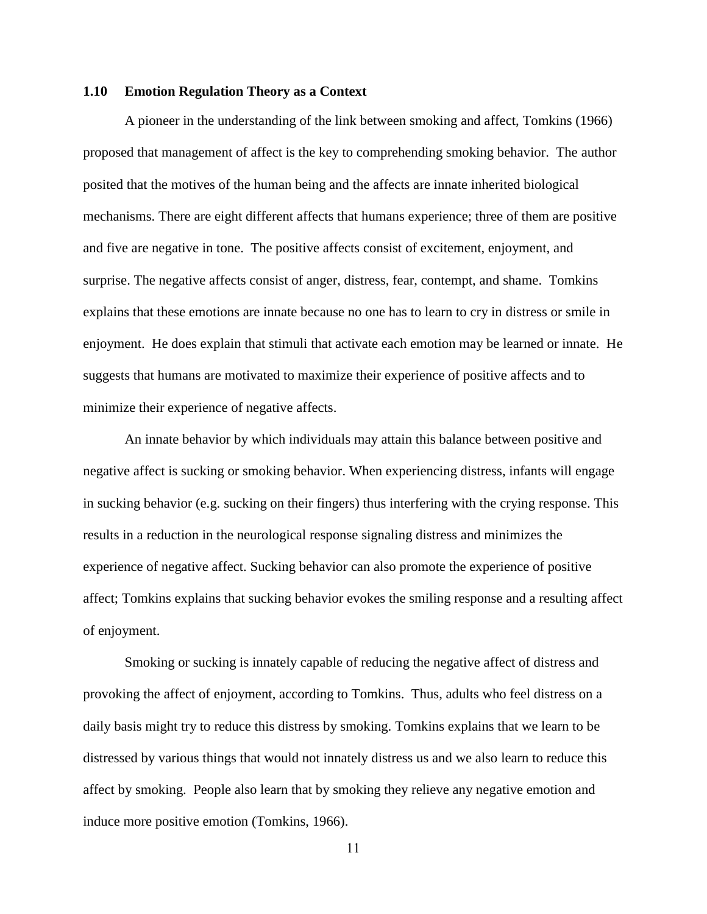#### **1.10 Emotion Regulation Theory as a Context**

A pioneer in the understanding of the link between smoking and affect, Tomkins (1966) proposed that management of affect is the key to comprehending smoking behavior. The author posited that the motives of the human being and the affects are innate inherited biological mechanisms. There are eight different affects that humans experience; three of them are positive and five are negative in tone. The positive affects consist of excitement, enjoyment, and surprise. The negative affects consist of anger, distress, fear, contempt, and shame. Tomkins explains that these emotions are innate because no one has to learn to cry in distress or smile in enjoyment. He does explain that stimuli that activate each emotion may be learned or innate. He suggests that humans are motivated to maximize their experience of positive affects and to minimize their experience of negative affects.

An innate behavior by which individuals may attain this balance between positive and negative affect is sucking or smoking behavior. When experiencing distress, infants will engage in sucking behavior (e.g. sucking on their fingers) thus interfering with the crying response. This results in a reduction in the neurological response signaling distress and minimizes the experience of negative affect. Sucking behavior can also promote the experience of positive affect; Tomkins explains that sucking behavior evokes the smiling response and a resulting affect of enjoyment.

Smoking or sucking is innately capable of reducing the negative affect of distress and provoking the affect of enjoyment, according to Tomkins. Thus, adults who feel distress on a daily basis might try to reduce this distress by smoking. Tomkins explains that we learn to be distressed by various things that would not innately distress us and we also learn to reduce this affect by smoking. People also learn that by smoking they relieve any negative emotion and induce more positive emotion (Tomkins, 1966).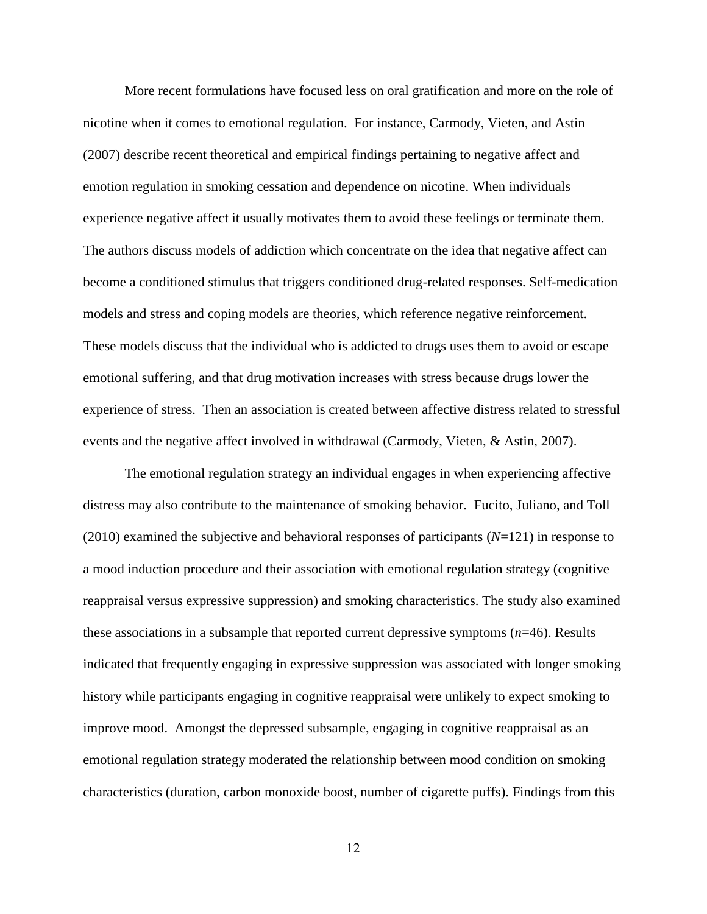More recent formulations have focused less on oral gratification and more on the role of nicotine when it comes to emotional regulation. For instance, Carmody, Vieten, and Astin (2007) describe recent theoretical and empirical findings pertaining to negative affect and emotion regulation in smoking cessation and dependence on nicotine. When individuals experience negative affect it usually motivates them to avoid these feelings or terminate them. The authors discuss models of addiction which concentrate on the idea that negative affect can become a conditioned stimulus that triggers conditioned drug-related responses. Self-medication models and stress and coping models are theories, which reference negative reinforcement. These models discuss that the individual who is addicted to drugs uses them to avoid or escape emotional suffering, and that drug motivation increases with stress because drugs lower the experience of stress. Then an association is created between affective distress related to stressful events and the negative affect involved in withdrawal (Carmody, Vieten, & Astin, 2007).

The emotional regulation strategy an individual engages in when experiencing affective distress may also contribute to the maintenance of smoking behavior. Fucito, Juliano, and Toll (2010) examined the subjective and behavioral responses of participants (*N*=121) in response to a mood induction procedure and their association with emotional regulation strategy (cognitive reappraisal versus expressive suppression) and smoking characteristics. The study also examined these associations in a subsample that reported current depressive symptoms (*n*=46). Results indicated that frequently engaging in expressive suppression was associated with longer smoking history while participants engaging in cognitive reappraisal were unlikely to expect smoking to improve mood. Amongst the depressed subsample, engaging in cognitive reappraisal as an emotional regulation strategy moderated the relationship between mood condition on smoking characteristics (duration, carbon monoxide boost, number of cigarette puffs). Findings from this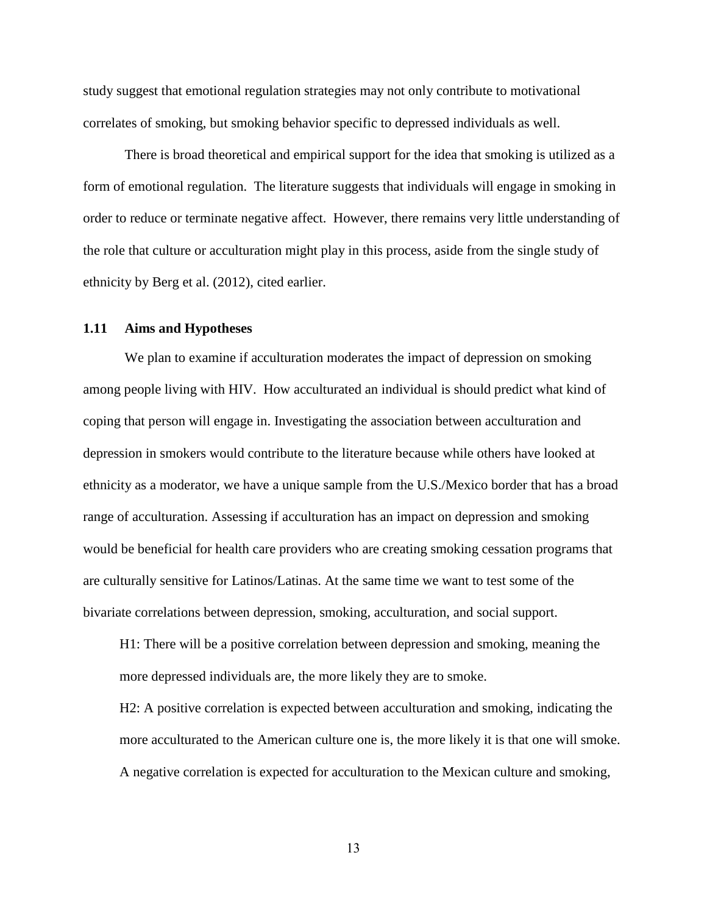study suggest that emotional regulation strategies may not only contribute to motivational correlates of smoking, but smoking behavior specific to depressed individuals as well.

There is broad theoretical and empirical support for the idea that smoking is utilized as a form of emotional regulation. The literature suggests that individuals will engage in smoking in order to reduce or terminate negative affect. However, there remains very little understanding of the role that culture or acculturation might play in this process, aside from the single study of ethnicity by Berg et al. (2012), cited earlier.

#### **1.11 Aims and Hypotheses**

We plan to examine if acculturation moderates the impact of depression on smoking among people living with HIV. How acculturated an individual is should predict what kind of coping that person will engage in. Investigating the association between acculturation and depression in smokers would contribute to the literature because while others have looked at ethnicity as a moderator, we have a unique sample from the U.S./Mexico border that has a broad range of acculturation. Assessing if acculturation has an impact on depression and smoking would be beneficial for health care providers who are creating smoking cessation programs that are culturally sensitive for Latinos/Latinas. At the same time we want to test some of the bivariate correlations between depression, smoking, acculturation, and social support.

H1: There will be a positive correlation between depression and smoking, meaning the more depressed individuals are, the more likely they are to smoke.

H2: A positive correlation is expected between acculturation and smoking, indicating the more acculturated to the American culture one is, the more likely it is that one will smoke. A negative correlation is expected for acculturation to the Mexican culture and smoking,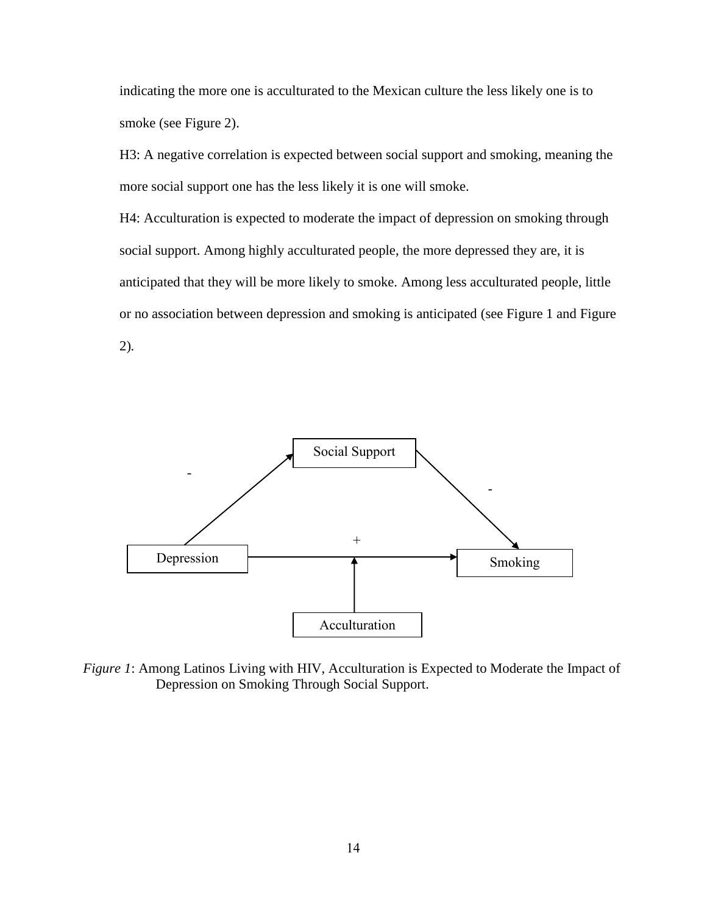indicating the more one is acculturated to the Mexican culture the less likely one is to smoke (see Figure 2).

H3: A negative correlation is expected between social support and smoking, meaning the more social support one has the less likely it is one will smoke.

H4: Acculturation is expected to moderate the impact of depression on smoking through social support. Among highly acculturated people, the more depressed they are, it is anticipated that they will be more likely to smoke. Among less acculturated people, little or no association between depression and smoking is anticipated (see Figure 1 and Figure 2)*.*



*Figure 1*: Among Latinos Living with HIV, Acculturation is Expected to Moderate the Impact of Depression on Smoking Through Social Support.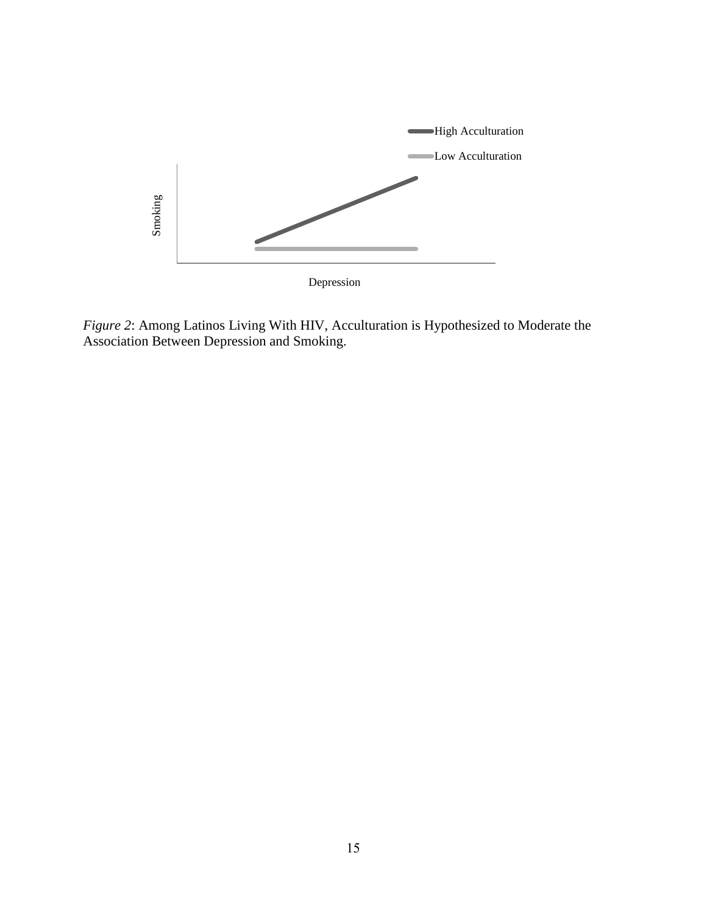

*Figure 2*: Among Latinos Living With HIV, Acculturation is Hypothesized to Moderate the Association Between Depression and Smoking.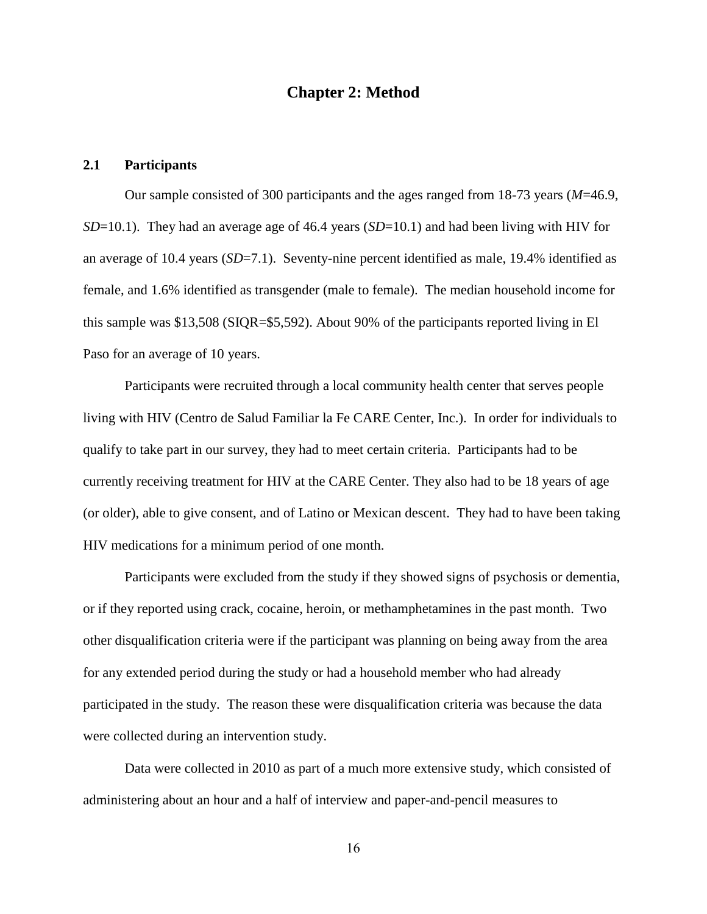## **Chapter 2: Method**

## **2.1 Participants**

Our sample consisted of 300 participants and the ages ranged from 18-73 years (*M*=46.9, *SD*=10.1). They had an average age of 46.4 years (*SD*=10.1) and had been living with HIV for an average of 10.4 years (*SD*=7.1). Seventy-nine percent identified as male, 19.4% identified as female, and 1.6% identified as transgender (male to female). The median household income for this sample was \$13,508 (SIQR=\$5,592). About 90% of the participants reported living in El Paso for an average of 10 years.

Participants were recruited through a local community health center that serves people living with HIV (Centro de Salud Familiar la Fe CARE Center, Inc.). In order for individuals to qualify to take part in our survey, they had to meet certain criteria. Participants had to be currently receiving treatment for HIV at the CARE Center. They also had to be 18 years of age (or older), able to give consent, and of Latino or Mexican descent. They had to have been taking HIV medications for a minimum period of one month.

Participants were excluded from the study if they showed signs of psychosis or dementia, or if they reported using crack, cocaine, heroin, or methamphetamines in the past month. Two other disqualification criteria were if the participant was planning on being away from the area for any extended period during the study or had a household member who had already participated in the study. The reason these were disqualification criteria was because the data were collected during an intervention study.

Data were collected in 2010 as part of a much more extensive study, which consisted of administering about an hour and a half of interview and paper-and-pencil measures to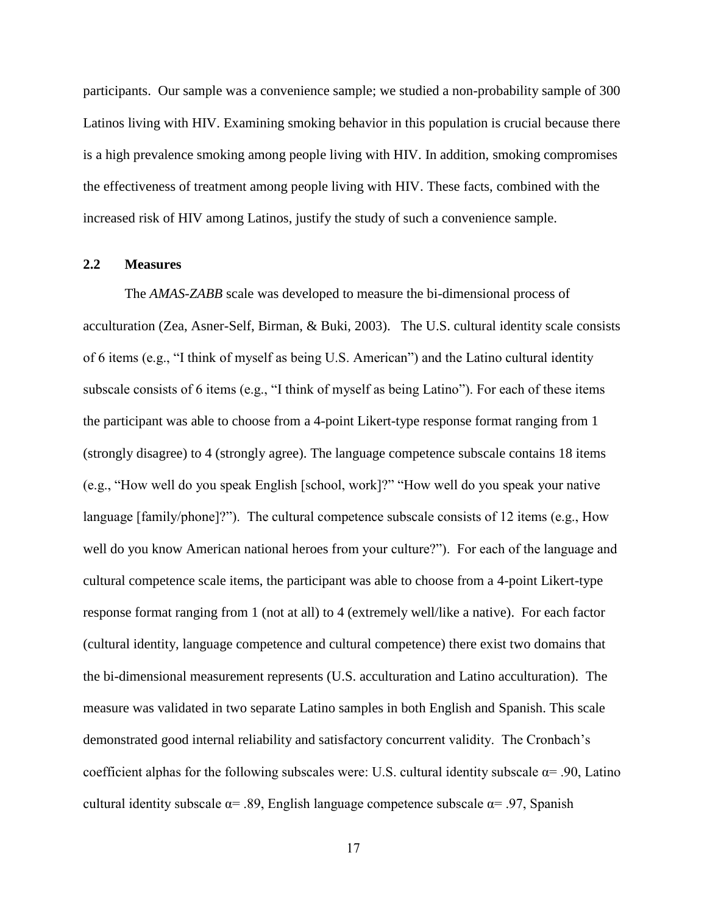participants. Our sample was a convenience sample; we studied a non-probability sample of 300 Latinos living with HIV. Examining smoking behavior in this population is crucial because there is a high prevalence smoking among people living with HIV. In addition, smoking compromises the effectiveness of treatment among people living with HIV. These facts, combined with the increased risk of HIV among Latinos, justify the study of such a convenience sample.

#### **2.2 Measures**

The *AMAS-ZABB* scale was developed to measure the bi-dimensional process of acculturation (Zea, Asner-Self, Birman, & Buki, 2003). The U.S. cultural identity scale consists of 6 items (e.g., "I think of myself as being U.S. American") and the Latino cultural identity subscale consists of 6 items (e.g., "I think of myself as being Latino"). For each of these items the participant was able to choose from a 4-point Likert-type response format ranging from 1 (strongly disagree) to 4 (strongly agree). The language competence subscale contains 18 items (e.g., "How well do you speak English [school, work]?" "How well do you speak your native language [family/phone]?"). The cultural competence subscale consists of 12 items (e.g., How well do you know American national heroes from your culture?"). For each of the language and cultural competence scale items, the participant was able to choose from a 4-point Likert-type response format ranging from 1 (not at all) to 4 (extremely well/like a native). For each factor (cultural identity, language competence and cultural competence) there exist two domains that the bi-dimensional measurement represents (U.S. acculturation and Latino acculturation). The measure was validated in two separate Latino samples in both English and Spanish. This scale demonstrated good internal reliability and satisfactory concurrent validity. The Cronbach's coefficient alphas for the following subscales were: U.S. cultural identity subscale  $\alpha$ = .90, Latino cultural identity subscale  $\alpha$ = .89, English language competence subscale  $\alpha$ = .97, Spanish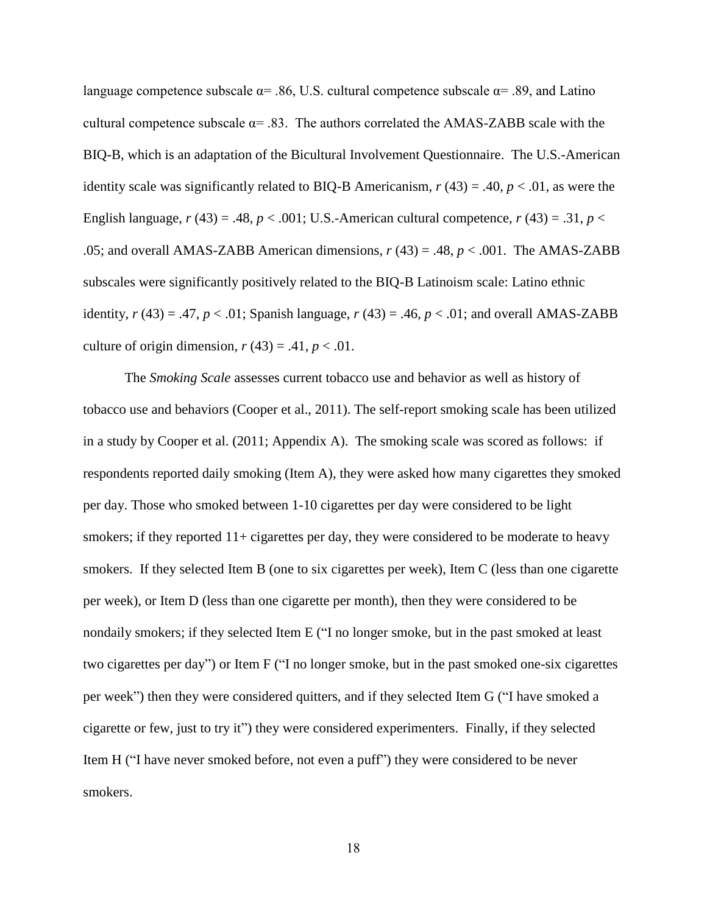language competence subscale  $\alpha$ = .86, U.S. cultural competence subscale  $\alpha$ = .89, and Latino cultural competence subscale  $\alpha$ = .83. The authors correlated the AMAS-ZABB scale with the BIQ-B, which is an adaptation of the Bicultural Involvement Questionnaire. The U.S.-American identity scale was significantly related to BIQ-B Americanism,  $r(43) = .40, p < .01$ , as were the English language,  $r(43) = .48$ ,  $p < .001$ ; U.S.-American cultural competence,  $r(43) = .31$ ,  $p <$ .05; and overall AMAS-ZABB American dimensions, *r* (43) = .48, *p* < .001. The AMAS-ZABB subscales were significantly positively related to the BIQ-B Latinoism scale: Latino ethnic identity,  $r(43) = .47$ ,  $p < .01$ ; Spanish language,  $r(43) = .46$ ,  $p < .01$ ; and overall AMAS-ZABB culture of origin dimension,  $r(43) = .41$ ,  $p < .01$ .

The *Smoking Scale* assesses current tobacco use and behavior as well as history of tobacco use and behaviors (Cooper et al., 2011). The self-report smoking scale has been utilized in a study by Cooper et al. (2011; Appendix A). The smoking scale was scored as follows: if respondents reported daily smoking (Item A), they were asked how many cigarettes they smoked per day. Those who smoked between 1-10 cigarettes per day were considered to be light smokers; if they reported 11+ cigarettes per day, they were considered to be moderate to heavy smokers. If they selected Item B (one to six cigarettes per week), Item C (less than one cigarette per week), or Item D (less than one cigarette per month), then they were considered to be nondaily smokers; if they selected Item E ("I no longer smoke, but in the past smoked at least two cigarettes per day") or Item F ("I no longer smoke, but in the past smoked one-six cigarettes per week") then they were considered quitters, and if they selected Item G ("I have smoked a cigarette or few, just to try it") they were considered experimenters. Finally, if they selected Item H ("I have never smoked before, not even a puff") they were considered to be never smokers.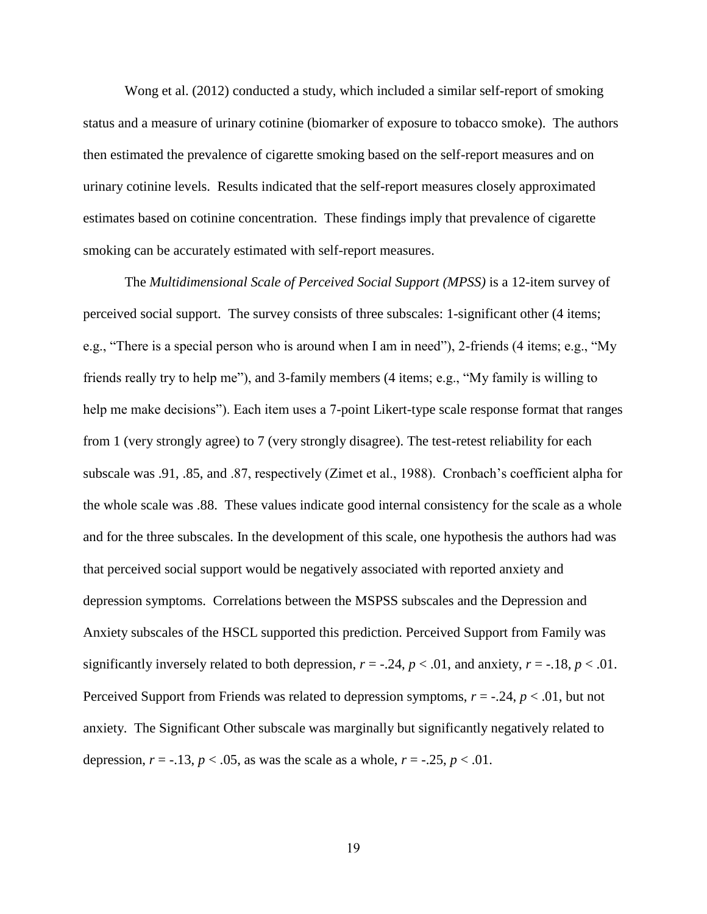Wong et al. (2012) conducted a study, which included a similar self-report of smoking status and a measure of urinary cotinine (biomarker of exposure to tobacco smoke). The authors then estimated the prevalence of cigarette smoking based on the self-report measures and on urinary cotinine levels. Results indicated that the self-report measures closely approximated estimates based on cotinine concentration. These findings imply that prevalence of cigarette smoking can be accurately estimated with self-report measures.

The *Multidimensional Scale of Perceived Social Support (MPSS)* is a 12-item survey of perceived social support. The survey consists of three subscales: 1-significant other (4 items; e.g., "There is a special person who is around when I am in need"), 2-friends (4 items; e.g., "My friends really try to help me"), and 3-family members (4 items; e.g., "My family is willing to help me make decisions"). Each item uses a 7-point Likert-type scale response format that ranges from 1 (very strongly agree) to 7 (very strongly disagree). The test-retest reliability for each subscale was .91, .85, and .87, respectively (Zimet et al., 1988). Cronbach's coefficient alpha for the whole scale was .88. These values indicate good internal consistency for the scale as a whole and for the three subscales. In the development of this scale, one hypothesis the authors had was that perceived social support would be negatively associated with reported anxiety and depression symptoms. Correlations between the MSPSS subscales and the Depression and Anxiety subscales of the HSCL supported this prediction. Perceived Support from Family was significantly inversely related to both depression,  $r = -0.24$ ,  $p < 0.01$ , and anxiety,  $r = -0.18$ ,  $p < 0.01$ . Perceived Support from Friends was related to depression symptoms, *r* = -.24, *p* < .01, but not anxiety. The Significant Other subscale was marginally but significantly negatively related to depression,  $r = -.13$ ,  $p < .05$ , as was the scale as a whole,  $r = -.25$ ,  $p < .01$ .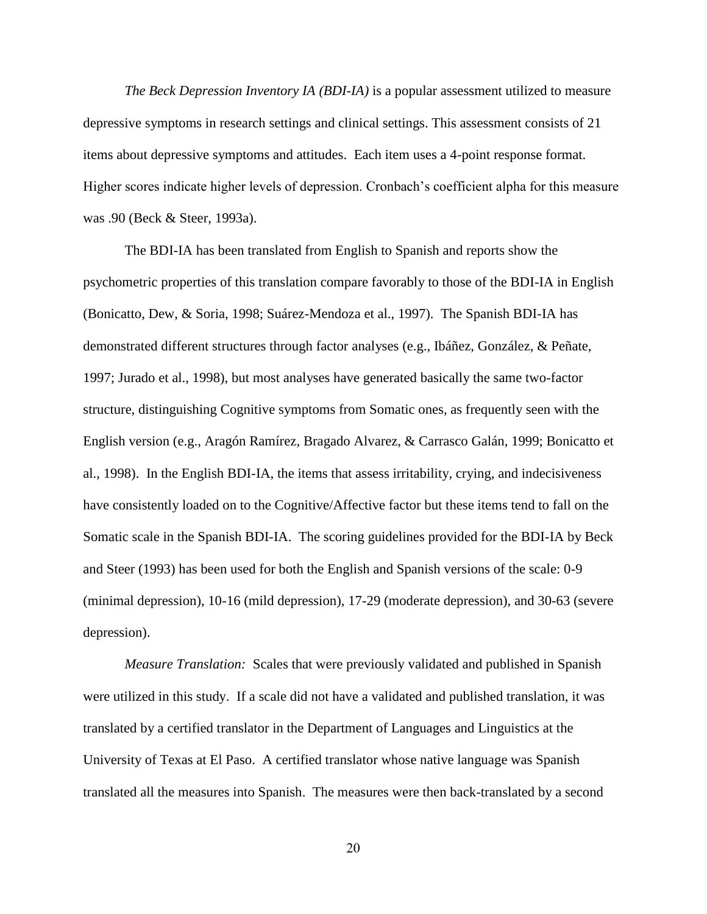*The Beck Depression Inventory IA (BDI-IA)* is a popular assessment utilized to measure depressive symptoms in research settings and clinical settings. This assessment consists of 21 items about depressive symptoms and attitudes. Each item uses a 4-point response format. Higher scores indicate higher levels of depression. Cronbach's coefficient alpha for this measure was .90 (Beck & Steer, 1993a).

The BDI-IA has been translated from English to Spanish and reports show the psychometric properties of this translation compare favorably to those of the BDI-IA in English (Bonicatto, Dew, & Soria, 1998; Suárez-Mendoza et al., 1997). The Spanish BDI-IA has demonstrated different structures through factor analyses (e.g., Ibáñez, González, & Peñate, 1997; Jurado et al., 1998), but most analyses have generated basically the same two-factor structure, distinguishing Cognitive symptoms from Somatic ones, as frequently seen with the English version (e.g., Aragón Ramírez, Bragado Alvarez, & Carrasco Galán, 1999; Bonicatto et al., 1998). In the English BDI-IA, the items that assess irritability, crying, and indecisiveness have consistently loaded on to the Cognitive/Affective factor but these items tend to fall on the Somatic scale in the Spanish BDI-IA. The scoring guidelines provided for the BDI-IA by Beck and Steer (1993) has been used for both the English and Spanish versions of the scale: 0-9 (minimal depression), 10-16 (mild depression), 17-29 (moderate depression), and 30-63 (severe depression).

*Measure Translation:* Scales that were previously validated and published in Spanish were utilized in this study. If a scale did not have a validated and published translation, it was translated by a certified translator in the Department of Languages and Linguistics at the University of Texas at El Paso. A certified translator whose native language was Spanish translated all the measures into Spanish. The measures were then back-translated by a second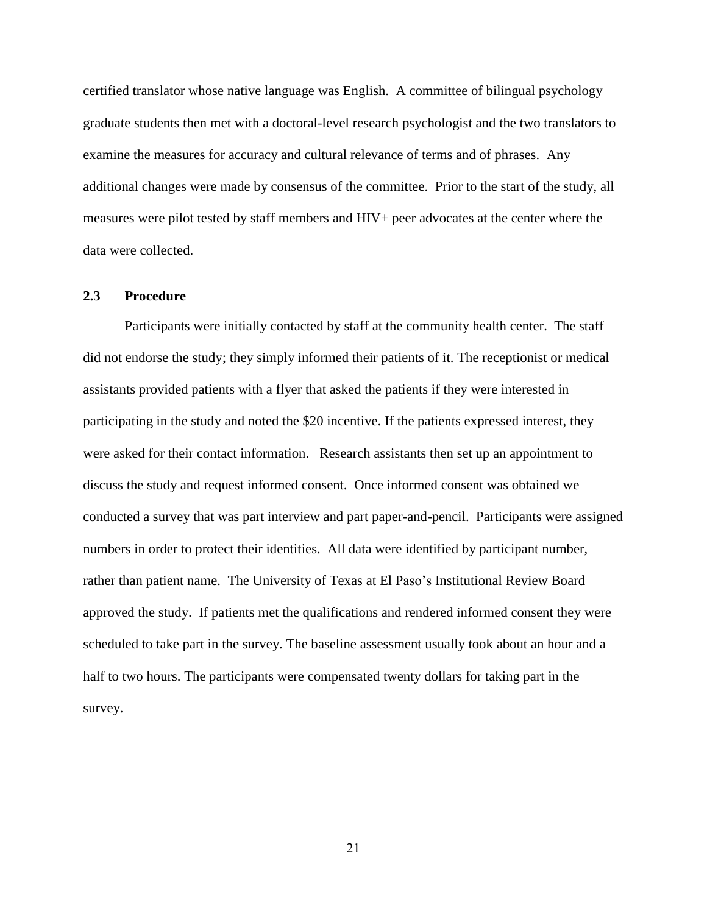certified translator whose native language was English. A committee of bilingual psychology graduate students then met with a doctoral-level research psychologist and the two translators to examine the measures for accuracy and cultural relevance of terms and of phrases. Any additional changes were made by consensus of the committee. Prior to the start of the study, all measures were pilot tested by staff members and HIV+ peer advocates at the center where the data were collected.

#### **2.3 Procedure**

Participants were initially contacted by staff at the community health center. The staff did not endorse the study; they simply informed their patients of it. The receptionist or medical assistants provided patients with a flyer that asked the patients if they were interested in participating in the study and noted the \$20 incentive. If the patients expressed interest, they were asked for their contact information. Research assistants then set up an appointment to discuss the study and request informed consent. Once informed consent was obtained we conducted a survey that was part interview and part paper-and-pencil. Participants were assigned numbers in order to protect their identities. All data were identified by participant number, rather than patient name. The University of Texas at El Paso's Institutional Review Board approved the study. If patients met the qualifications and rendered informed consent they were scheduled to take part in the survey. The baseline assessment usually took about an hour and a half to two hours. The participants were compensated twenty dollars for taking part in the survey.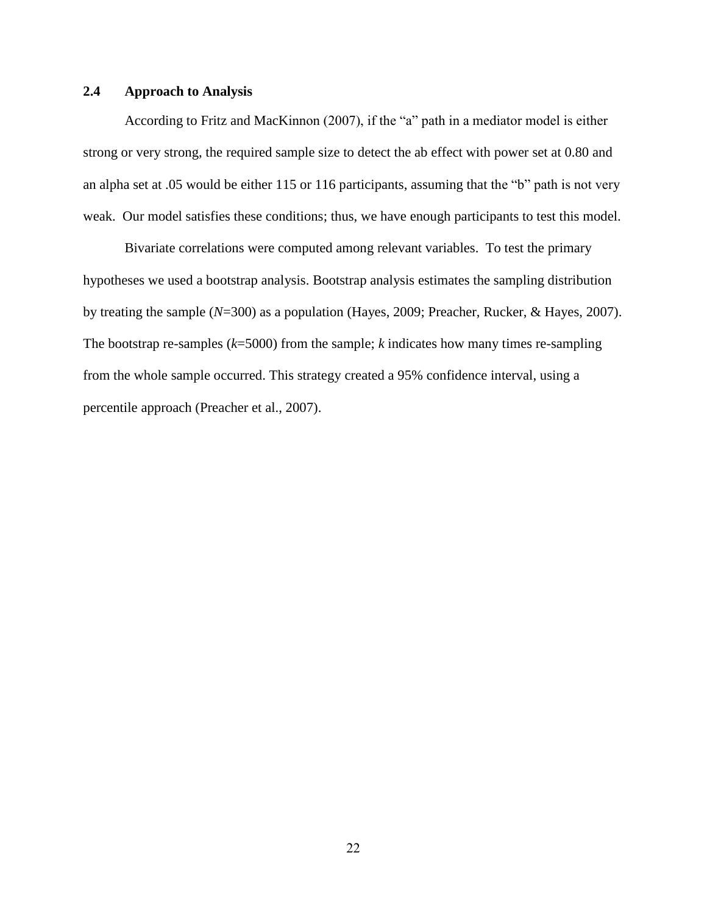## **2.4 Approach to Analysis**

According to Fritz and MacKinnon (2007), if the "a" path in a mediator model is either strong or very strong, the required sample size to detect the ab effect with power set at 0.80 and an alpha set at .05 would be either 115 or 116 participants, assuming that the "b" path is not very weak. Our model satisfies these conditions; thus, we have enough participants to test this model.

Bivariate correlations were computed among relevant variables. To test the primary hypotheses we used a bootstrap analysis. Bootstrap analysis estimates the sampling distribution by treating the sample (*N*=300) as a population (Hayes, 2009; Preacher, Rucker, & Hayes, 2007). The bootstrap re-samples (*k*=5000) from the sample; *k* indicates how many times re-sampling from the whole sample occurred. This strategy created a 95% confidence interval, using a percentile approach (Preacher et al., 2007).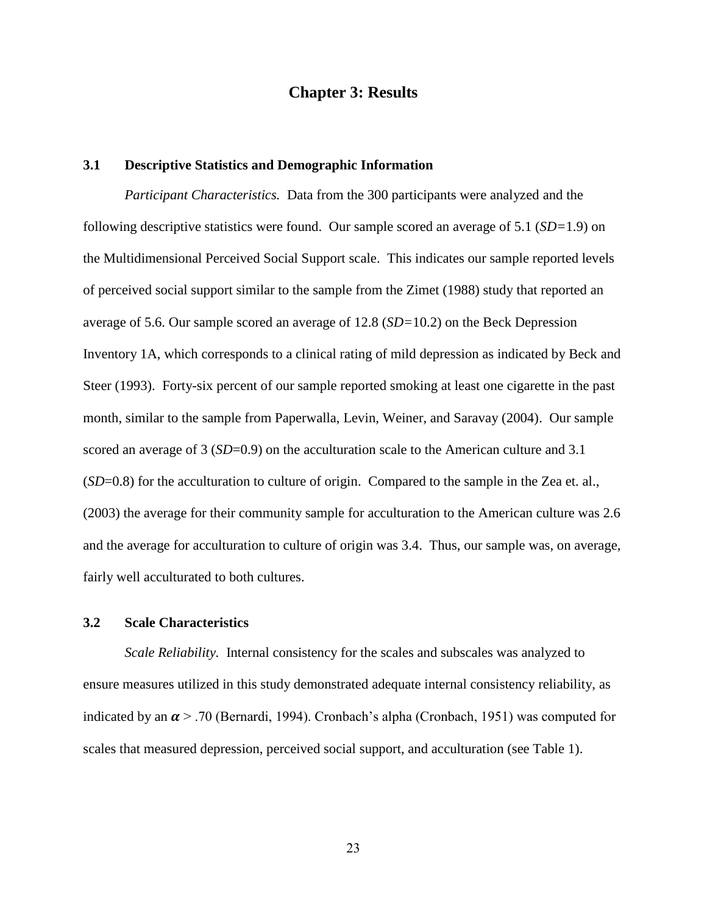## **Chapter 3: Results**

## **3.1 Descriptive Statistics and Demographic Information**

*Participant Characteristics.* Data from the 300 participants were analyzed and the following descriptive statistics were found. Our sample scored an average of 5.1 (*SD=*1.9) on the Multidimensional Perceived Social Support scale. This indicates our sample reported levels of perceived social support similar to the sample from the Zimet (1988) study that reported an average of 5.6. Our sample scored an average of 12.8 (*SD=*10.2) on the Beck Depression Inventory 1A, which corresponds to a clinical rating of mild depression as indicated by Beck and Steer (1993). Forty-six percent of our sample reported smoking at least one cigarette in the past month, similar to the sample from Paperwalla, Levin, Weiner, and Saravay (2004). Our sample scored an average of 3 (*SD*=0.9) on the acculturation scale to the American culture and 3.1 (*SD*=0.8) for the acculturation to culture of origin. Compared to the sample in the Zea et. al., (2003) the average for their community sample for acculturation to the American culture was 2.6 and the average for acculturation to culture of origin was 3.4. Thus, our sample was, on average, fairly well acculturated to both cultures.

### **3.2 Scale Characteristics**

*Scale Reliability.* Internal consistency for the scales and subscales was analyzed to ensure measures utilized in this study demonstrated adequate internal consistency reliability, as indicated by an  $\alpha$  > .70 (Bernardi, 1994). Cronbach's alpha (Cronbach, 1951) was computed for scales that measured depression, perceived social support, and acculturation (see Table 1).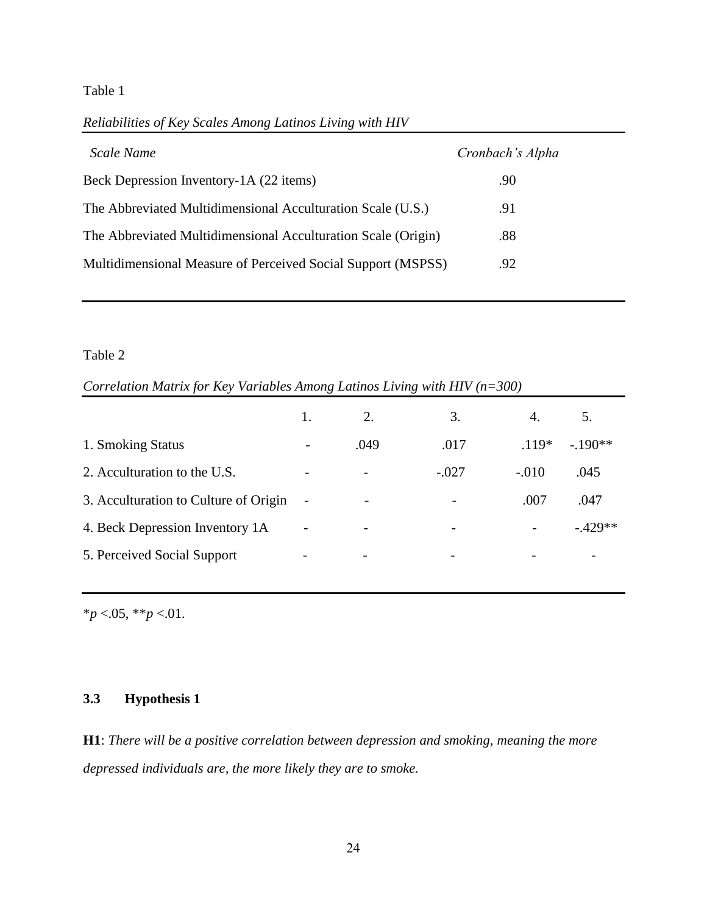## Table 1

*Reliabilities of Key Scales Among Latinos Living with HIV*

| Scale Name                                                    | Cronbach's Alpha |
|---------------------------------------------------------------|------------------|
| Beck Depression Inventory-1A (22 items)                       | .90              |
| The Abbreviated Multidimensional Acculturation Scale (U.S.)   | .91              |
| The Abbreviated Multidimensional Acculturation Scale (Origin) | .88              |
| Multidimensional Measure of Perceived Social Support (MSPSS)  | .92              |

### Table 2

*Correlation Matrix for Key Variables Among Latinos Living with HIV (n=300)*

|                                       |                          | 2.                       | 3.                           | 4.                       | 5.         |
|---------------------------------------|--------------------------|--------------------------|------------------------------|--------------------------|------------|
| 1. Smoking Status                     | -                        | .049                     | .017                         | $.119*$                  | $-.190**$  |
| 2. Acculturation to the U.S.          |                          | $\overline{\phantom{a}}$ | $-.027$                      | $-.010$                  | .045       |
| 3. Acculturation to Culture of Origin |                          | $\overline{\phantom{a}}$ |                              | .007                     | .047       |
| 4. Beck Depression Inventory 1A       | $\overline{\phantom{0}}$ | $\overline{\phantom{a}}$ | $\qquad \qquad \blacksquare$ |                          | $-0.429**$ |
| 5. Perceived Social Support           |                          | $\overline{\phantom{0}}$ | $\overline{\phantom{0}}$     | $\overline{\phantom{0}}$ |            |

\**p* <.05, \*\**p* <.01.

## **3.3 Hypothesis 1**

**H1**: *There will be a positive correlation between depression and smoking, meaning the more depressed individuals are, the more likely they are to smoke.*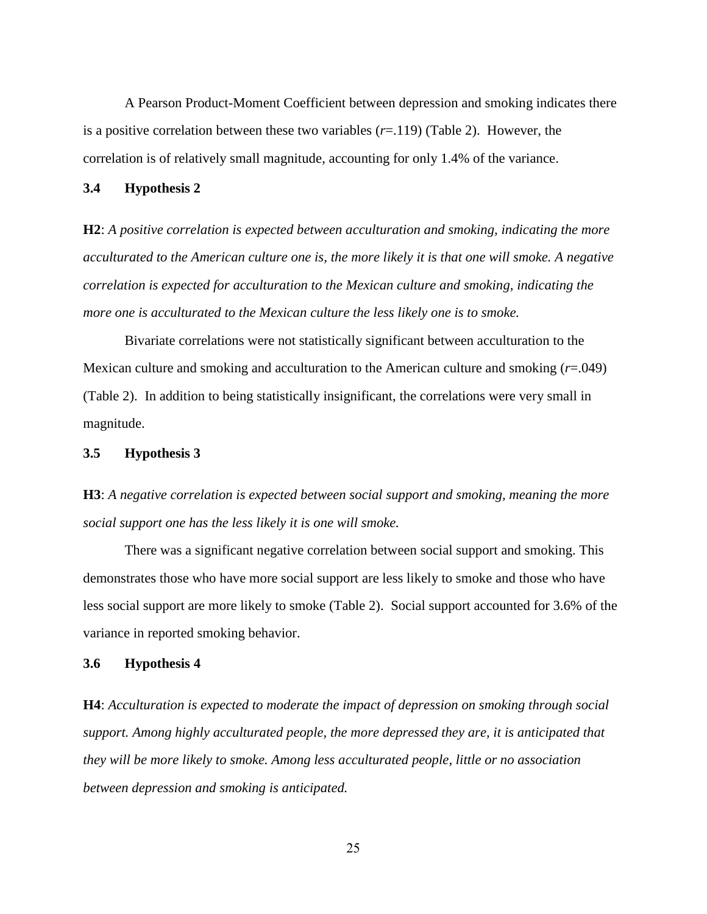A Pearson Product-Moment Coefficient between depression and smoking indicates there is a positive correlation between these two variables (*r*=.119) (Table 2). However, the correlation is of relatively small magnitude, accounting for only 1.4% of the variance.

#### **3.4 Hypothesis 2**

**H2**: *A positive correlation is expected between acculturation and smoking, indicating the more acculturated to the American culture one is, the more likely it is that one will smoke. A negative correlation is expected for acculturation to the Mexican culture and smoking, indicating the more one is acculturated to the Mexican culture the less likely one is to smoke.* 

Bivariate correlations were not statistically significant between acculturation to the Mexican culture and smoking and acculturation to the American culture and smoking (*r*=.049) (Table 2). In addition to being statistically insignificant, the correlations were very small in magnitude.

#### **3.5 Hypothesis 3**

**H3**: *A negative correlation is expected between social support and smoking, meaning the more social support one has the less likely it is one will smoke.* 

There was a significant negative correlation between social support and smoking. This demonstrates those who have more social support are less likely to smoke and those who have less social support are more likely to smoke (Table 2). Social support accounted for 3.6% of the variance in reported smoking behavior.

#### **3.6 Hypothesis 4**

**H4**: *Acculturation is expected to moderate the impact of depression on smoking through social support. Among highly acculturated people, the more depressed they are, it is anticipated that they will be more likely to smoke. Among less acculturated people, little or no association between depression and smoking is anticipated.*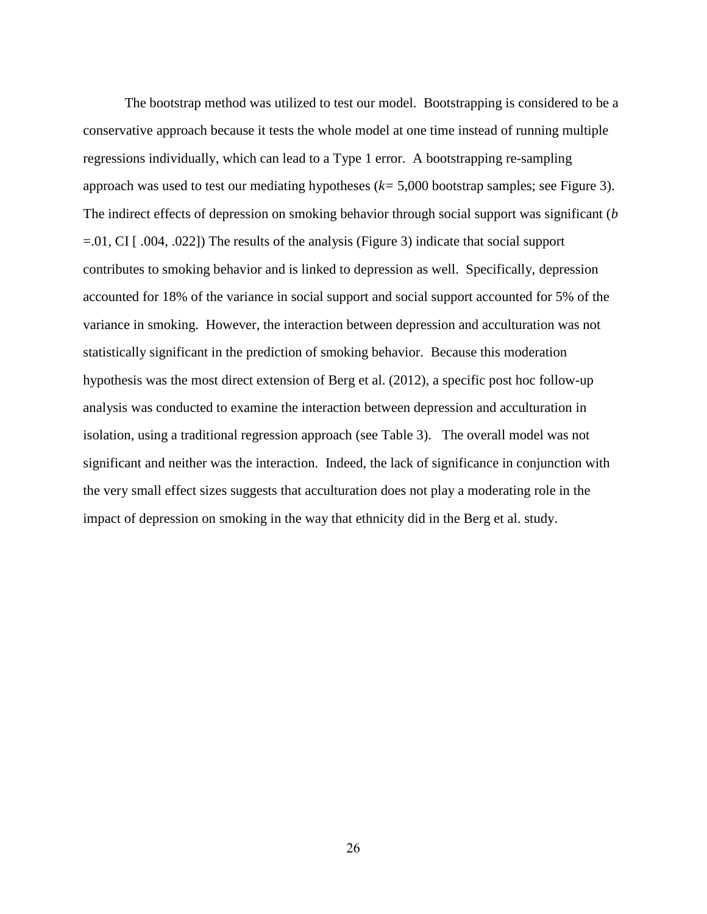The bootstrap method was utilized to test our model. Bootstrapping is considered to be a conservative approach because it tests the whole model at one time instead of running multiple regressions individually, which can lead to a Type 1 error. A bootstrapping re-sampling approach was used to test our mediating hypotheses (*k=* 5,000 bootstrap samples; see Figure 3). The indirect effects of depression on smoking behavior through social support was significant (*b*  =.01, CI [ .004, .022]) The results of the analysis (Figure 3) indicate that social support contributes to smoking behavior and is linked to depression as well. Specifically, depression accounted for 18% of the variance in social support and social support accounted for 5% of the variance in smoking. However, the interaction between depression and acculturation was not statistically significant in the prediction of smoking behavior. Because this moderation hypothesis was the most direct extension of Berg et al. (2012), a specific post hoc follow-up analysis was conducted to examine the interaction between depression and acculturation in isolation, using a traditional regression approach (see Table 3). The overall model was not significant and neither was the interaction. Indeed, the lack of significance in conjunction with the very small effect sizes suggests that acculturation does not play a moderating role in the impact of depression on smoking in the way that ethnicity did in the Berg et al. study.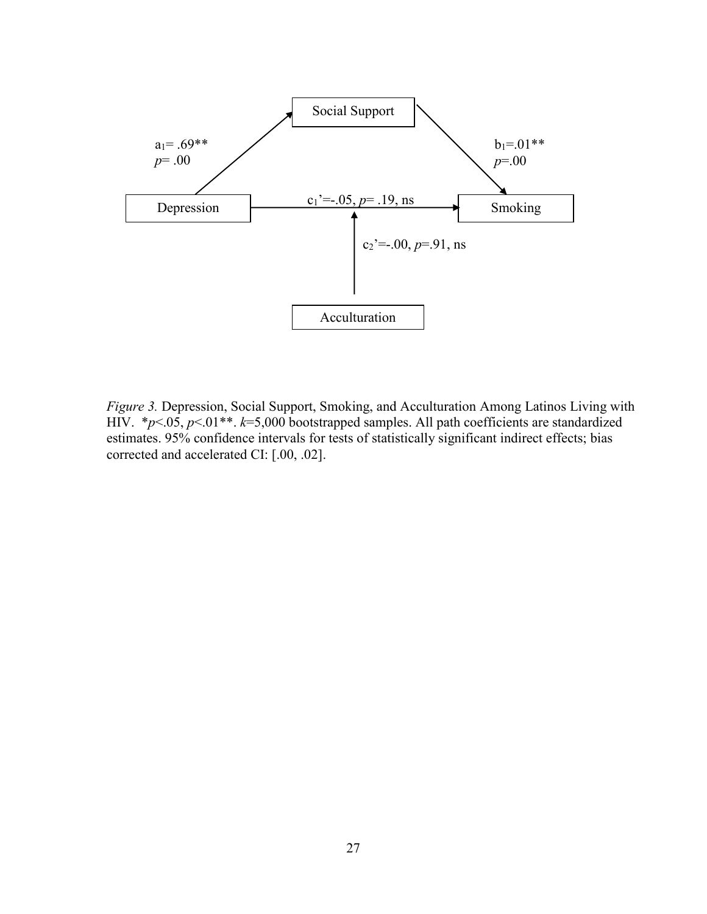

*Figure 3.* Depression, Social Support, Smoking, and Acculturation Among Latinos Living with HIV. \**p*<.05, *p*<.01\*\*. *k*=5,000 bootstrapped samples. All path coefficients are standardized estimates. 95% confidence intervals for tests of statistically significant indirect effects; bias corrected and accelerated CI: [.00, .02].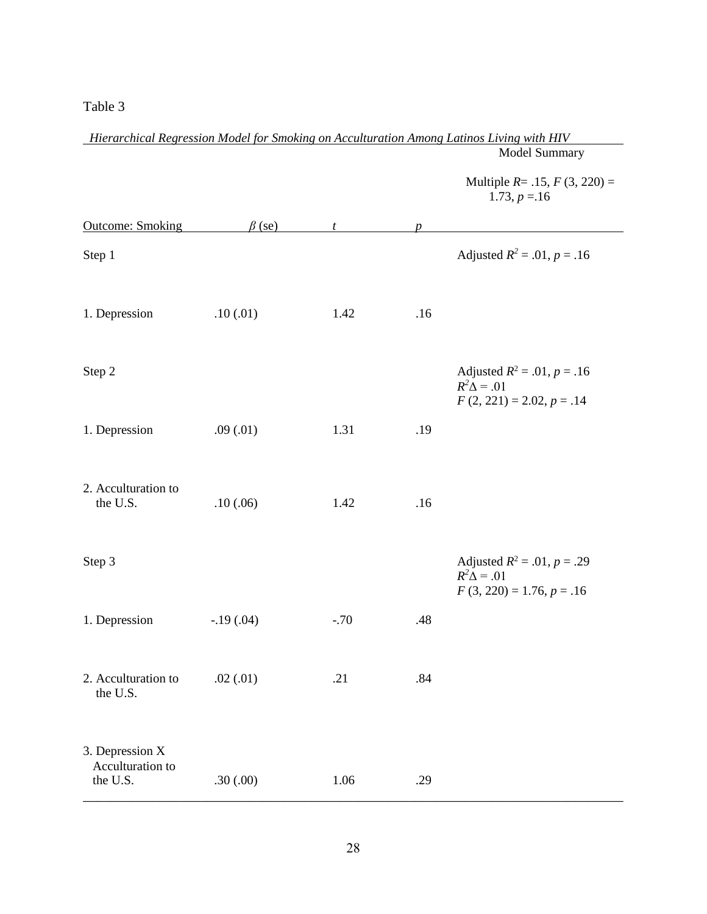## Table 3

|                                                 |              |        |                  | Model Summary                                                                        |
|-------------------------------------------------|--------------|--------|------------------|--------------------------------------------------------------------------------------|
|                                                 |              |        |                  | Multiple $R = .15$ , $F(3, 220) =$<br>$1.73, p = 16$                                 |
| <b>Outcome: Smoking</b>                         | $\beta$ (se) | t      | $\boldsymbol{p}$ |                                                                                      |
| Step 1                                          |              |        |                  | Adjusted $R^2 = .01, p = .16$                                                        |
| 1. Depression                                   | .10(0.01)    | 1.42   | .16              |                                                                                      |
| Step 2                                          |              |        |                  | Adjusted $R^2 = .01, p = .16$<br>$R^2\Delta = .01$<br>$F(2, 221) = 2.02, p = .14$    |
| 1. Depression                                   | .09(.01)     | 1.31   | .19              |                                                                                      |
| 2. Acculturation to<br>the U.S.                 | .10(0.06)    | 1.42   | .16              |                                                                                      |
| Step 3                                          |              |        |                  | Adjusted $R^2 = .01$ , $p = .29$<br>$R^2\Delta = .01$<br>$F(3, 220) = 1.76, p = .16$ |
| 1. Depression                                   | $-.19(.04)$  | $-.70$ | .48              |                                                                                      |
| 2. Acculturation to<br>the U.S.                 | .02(.01)     | .21    | .84              |                                                                                      |
| 3. Depression X<br>Acculturation to<br>the U.S. | .30(.00)     | 1.06   | .29              |                                                                                      |

# *Hierarchical Regression Model for Smoking on Acculturation Among Latinos Living with HIV*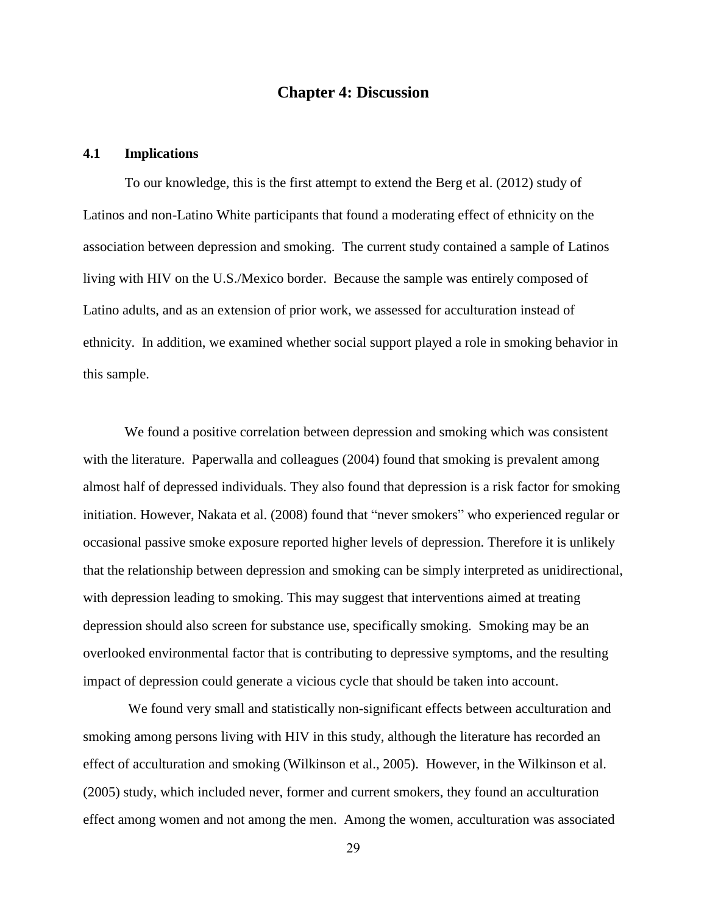## **Chapter 4: Discussion**

#### **4.1 Implications**

To our knowledge, this is the first attempt to extend the Berg et al. (2012) study of Latinos and non-Latino White participants that found a moderating effect of ethnicity on the association between depression and smoking. The current study contained a sample of Latinos living with HIV on the U.S./Mexico border. Because the sample was entirely composed of Latino adults, and as an extension of prior work, we assessed for acculturation instead of ethnicity. In addition, we examined whether social support played a role in smoking behavior in this sample.

We found a positive correlation between depression and smoking which was consistent with the literature. Paperwalla and colleagues (2004) found that smoking is prevalent among almost half of depressed individuals. They also found that depression is a risk factor for smoking initiation. However, Nakata et al. (2008) found that "never smokers" who experienced regular or occasional passive smoke exposure reported higher levels of depression. Therefore it is unlikely that the relationship between depression and smoking can be simply interpreted as unidirectional, with depression leading to smoking. This may suggest that interventions aimed at treating depression should also screen for substance use, specifically smoking. Smoking may be an overlooked environmental factor that is contributing to depressive symptoms, and the resulting impact of depression could generate a vicious cycle that should be taken into account.

We found very small and statistically non-significant effects between acculturation and smoking among persons living with HIV in this study, although the literature has recorded an effect of acculturation and smoking (Wilkinson et al., 2005). However, in the Wilkinson et al. (2005) study, which included never, former and current smokers, they found an acculturation effect among women and not among the men. Among the women, acculturation was associated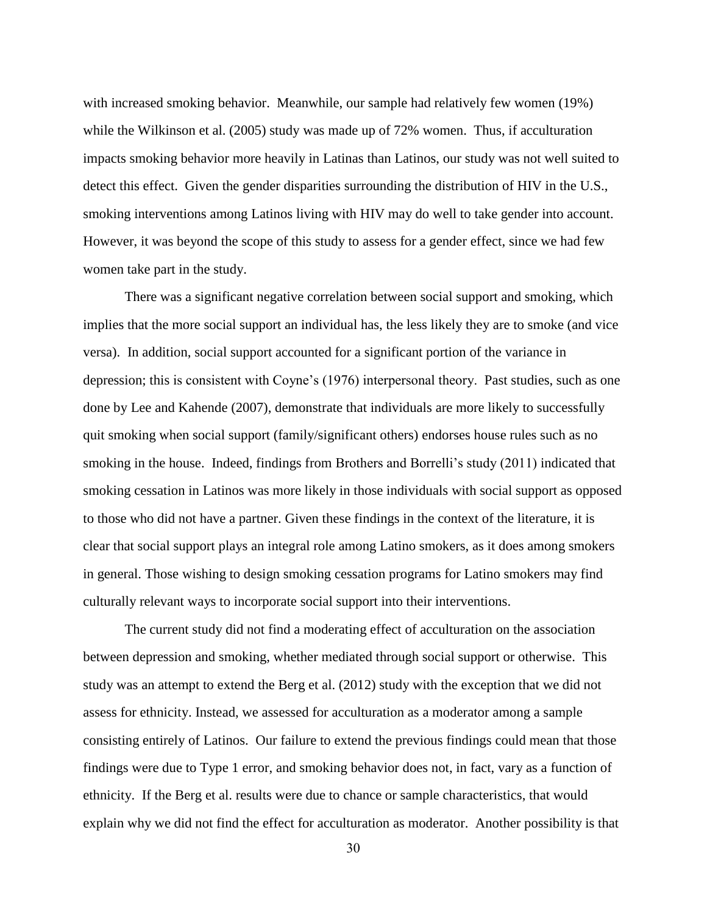with increased smoking behavior. Meanwhile, our sample had relatively few women (19%) while the Wilkinson et al. (2005) study was made up of 72% women. Thus, if acculturation impacts smoking behavior more heavily in Latinas than Latinos, our study was not well suited to detect this effect. Given the gender disparities surrounding the distribution of HIV in the U.S., smoking interventions among Latinos living with HIV may do well to take gender into account. However, it was beyond the scope of this study to assess for a gender effect, since we had few women take part in the study.

There was a significant negative correlation between social support and smoking, which implies that the more social support an individual has, the less likely they are to smoke (and vice versa). In addition, social support accounted for a significant portion of the variance in depression; this is consistent with Coyne's (1976) interpersonal theory. Past studies, such as one done by Lee and Kahende (2007), demonstrate that individuals are more likely to successfully quit smoking when social support (family/significant others) endorses house rules such as no smoking in the house. Indeed, findings from Brothers and Borrelli's study (2011) indicated that smoking cessation in Latinos was more likely in those individuals with social support as opposed to those who did not have a partner. Given these findings in the context of the literature, it is clear that social support plays an integral role among Latino smokers, as it does among smokers in general. Those wishing to design smoking cessation programs for Latino smokers may find culturally relevant ways to incorporate social support into their interventions.

The current study did not find a moderating effect of acculturation on the association between depression and smoking, whether mediated through social support or otherwise. This study was an attempt to extend the Berg et al. (2012) study with the exception that we did not assess for ethnicity. Instead, we assessed for acculturation as a moderator among a sample consisting entirely of Latinos. Our failure to extend the previous findings could mean that those findings were due to Type 1 error, and smoking behavior does not, in fact, vary as a function of ethnicity. If the Berg et al. results were due to chance or sample characteristics, that would explain why we did not find the effect for acculturation as moderator. Another possibility is that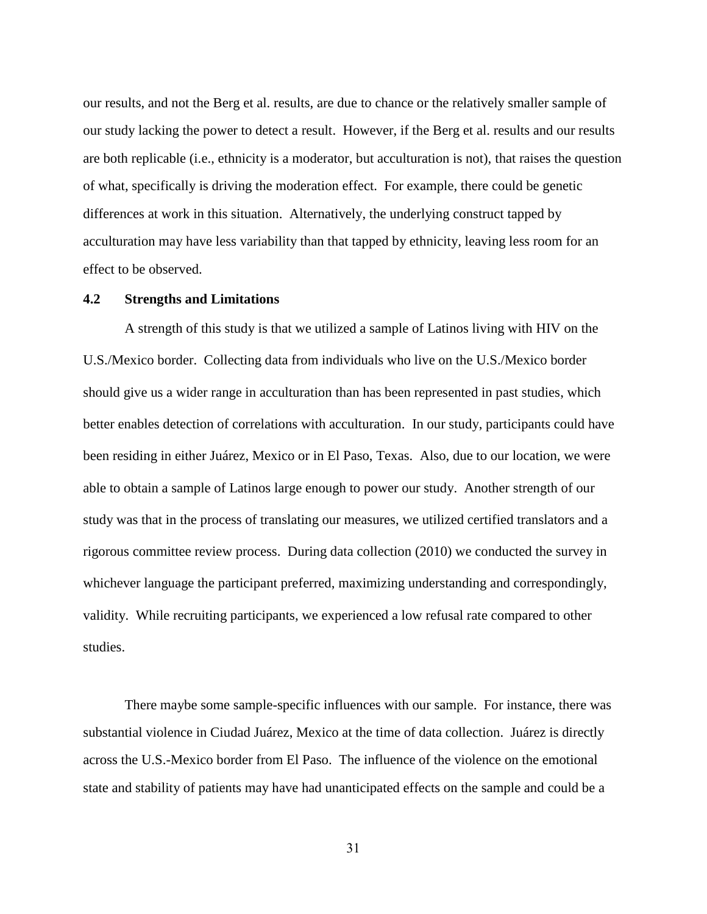our results, and not the Berg et al. results, are due to chance or the relatively smaller sample of our study lacking the power to detect a result. However, if the Berg et al. results and our results are both replicable (i.e., ethnicity is a moderator, but acculturation is not), that raises the question of what, specifically is driving the moderation effect. For example, there could be genetic differences at work in this situation. Alternatively, the underlying construct tapped by acculturation may have less variability than that tapped by ethnicity, leaving less room for an effect to be observed.

### **4.2 Strengths and Limitations**

A strength of this study is that we utilized a sample of Latinos living with HIV on the U.S./Mexico border. Collecting data from individuals who live on the U.S./Mexico border should give us a wider range in acculturation than has been represented in past studies, which better enables detection of correlations with acculturation. In our study, participants could have been residing in either Juárez, Mexico or in El Paso, Texas. Also, due to our location, we were able to obtain a sample of Latinos large enough to power our study. Another strength of our study was that in the process of translating our measures, we utilized certified translators and a rigorous committee review process. During data collection (2010) we conducted the survey in whichever language the participant preferred, maximizing understanding and correspondingly, validity. While recruiting participants, we experienced a low refusal rate compared to other studies.

There maybe some sample-specific influences with our sample. For instance, there was substantial violence in Ciudad Juárez, Mexico at the time of data collection. Juárez is directly across the U.S.-Mexico border from El Paso. The influence of the violence on the emotional state and stability of patients may have had unanticipated effects on the sample and could be a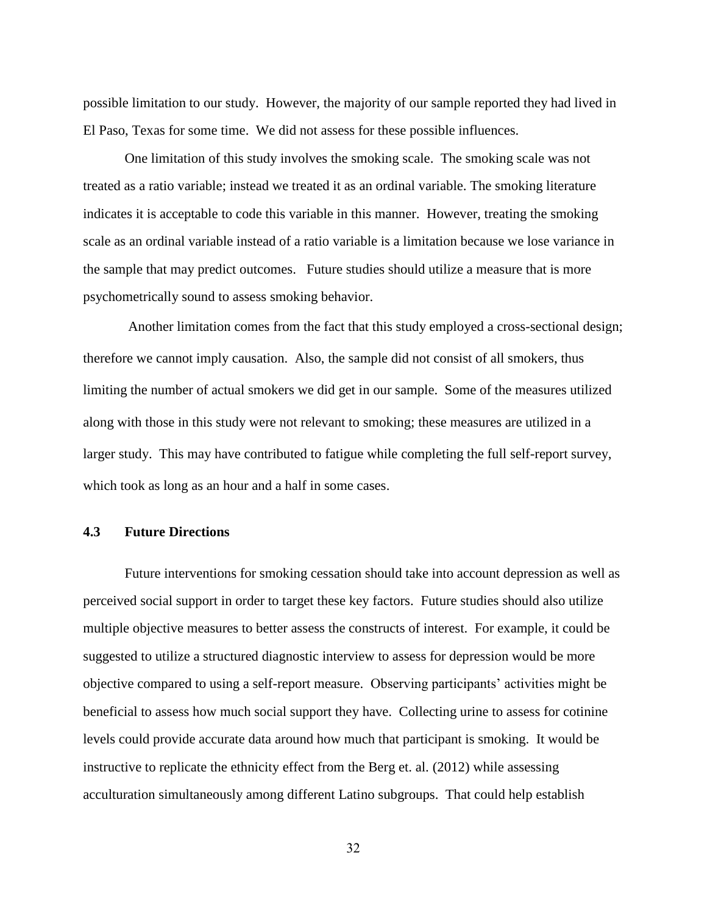possible limitation to our study. However, the majority of our sample reported they had lived in El Paso, Texas for some time. We did not assess for these possible influences.

One limitation of this study involves the smoking scale. The smoking scale was not treated as a ratio variable; instead we treated it as an ordinal variable. The smoking literature indicates it is acceptable to code this variable in this manner. However, treating the smoking scale as an ordinal variable instead of a ratio variable is a limitation because we lose variance in the sample that may predict outcomes. Future studies should utilize a measure that is more psychometrically sound to assess smoking behavior.

Another limitation comes from the fact that this study employed a cross-sectional design; therefore we cannot imply causation. Also, the sample did not consist of all smokers, thus limiting the number of actual smokers we did get in our sample. Some of the measures utilized along with those in this study were not relevant to smoking; these measures are utilized in a larger study. This may have contributed to fatigue while completing the full self-report survey, which took as long as an hour and a half in some cases.

#### **4.3 Future Directions**

Future interventions for smoking cessation should take into account depression as well as perceived social support in order to target these key factors. Future studies should also utilize multiple objective measures to better assess the constructs of interest. For example, it could be suggested to utilize a structured diagnostic interview to assess for depression would be more objective compared to using a self-report measure. Observing participants' activities might be beneficial to assess how much social support they have. Collecting urine to assess for cotinine levels could provide accurate data around how much that participant is smoking. It would be instructive to replicate the ethnicity effect from the Berg et. al. (2012) while assessing acculturation simultaneously among different Latino subgroups. That could help establish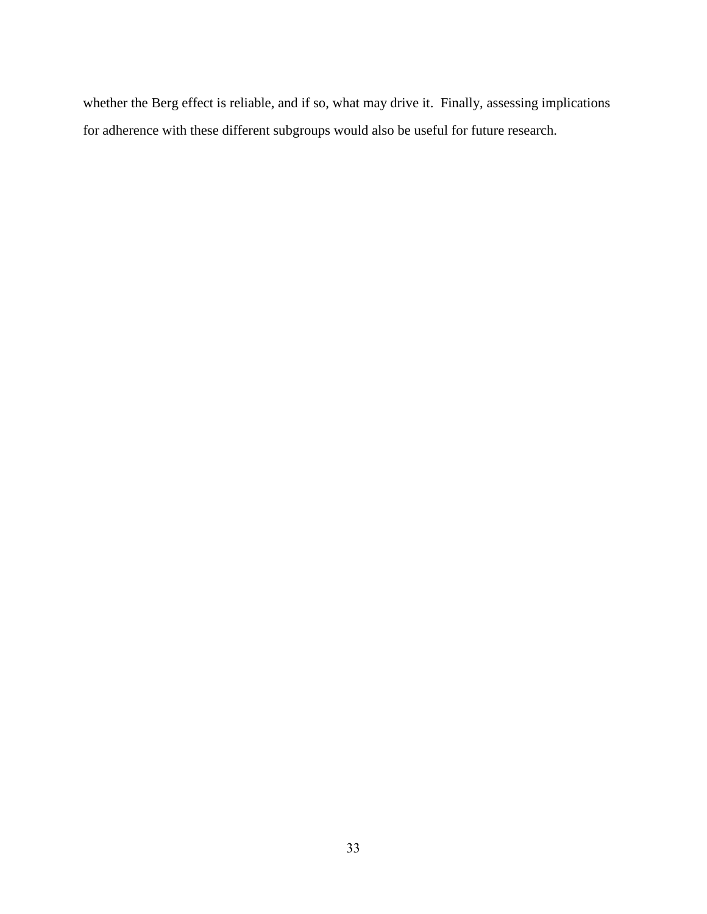whether the Berg effect is reliable, and if so, what may drive it. Finally, assessing implications for adherence with these different subgroups would also be useful for future research.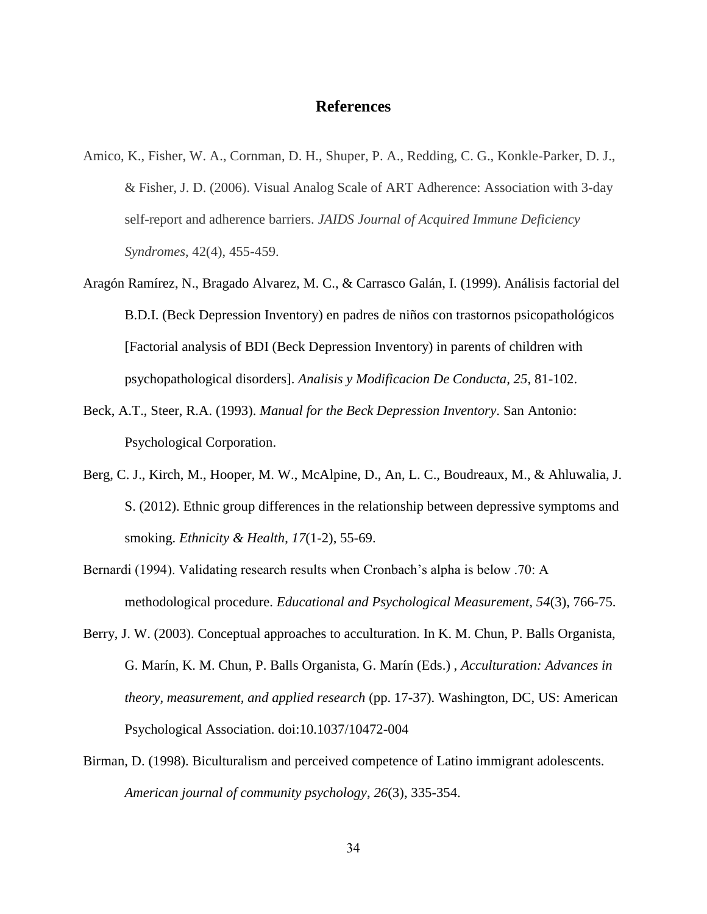## **References**

- Amico, K., Fisher, W. A., Cornman, D. H., Shuper, P. A., Redding, C. G., Konkle-Parker, D. J., & Fisher, J. D. (2006). Visual Analog Scale of ART Adherence: Association with 3-day self-report and adherence barriers. *JAIDS Journal of Acquired Immune Deficiency Syndromes*, 42(4), 455-459.
- Aragón Ramírez, N., Bragado Alvarez, M. C., & Carrasco Galán, I. (1999). Análisis factorial del B.D.I. (Beck Depression Inventory) en padres de niños con trastornos psicopathológicos [Factorial analysis of BDI (Beck Depression Inventory) in parents of children with psychopathological disorders]. *Analisis y Modificacion De Conducta, 25*, 81-102.
- Beck, A.T., Steer, R.A. (1993). *Manual for the Beck Depression Inventory*. San Antonio: Psychological Corporation.
- Berg, C. J., Kirch, M., Hooper, M. W., McAlpine, D., An, L. C., Boudreaux, M., & Ahluwalia, J. S. (2012). Ethnic group differences in the relationship between depressive symptoms and smoking. *Ethnicity & Health*, *17*(1-2), 55-69.
- Bernardi (1994). Validating research results when Cronbach's alpha is below .70: A methodological procedure. *Educational and Psychological Measurement, 54*(3), 766-75.
- Berry, J. W. (2003). Conceptual approaches to acculturation. In K. M. Chun, P. Balls Organista, G. Marín, K. M. Chun, P. Balls Organista, G. Marín (Eds.) , *Acculturation: Advances in theory, measurement, and applied research* (pp. 17-37). Washington, DC, US: American Psychological Association. doi:10.1037/10472-004
- Birman, D. (1998). Biculturalism and perceived competence of Latino immigrant adolescents. *American journal of community psychology*, *26*(3), 335-354.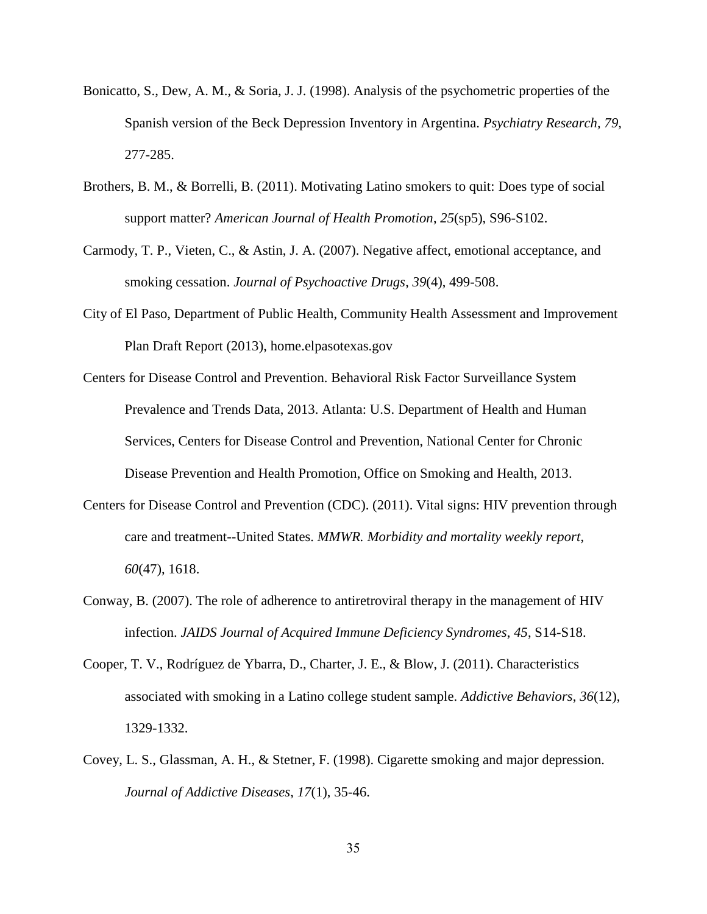- Bonicatto, S., Dew, A. M., & Soria, J. J. (1998). Analysis of the psychometric properties of the Spanish version of the Beck Depression Inventory in Argentina. *Psychiatry Research, 79,* 277-285.
- Brothers, B. M., & Borrelli, B. (2011). Motivating Latino smokers to quit: Does type of social support matter? *American Journal of Health Promotion*, *25*(sp5), S96-S102.
- Carmody, T. P., Vieten, C., & Astin, J. A. (2007). Negative affect, emotional acceptance, and smoking cessation. *Journal of Psychoactive Drugs*, *39*(4), 499-508.
- City of El Paso, Department of Public Health, Community Health Assessment and Improvement Plan Draft Report (2013), home.elpasotexas.gov
- Centers for Disease Control and Prevention. Behavioral Risk Factor Surveillance System Prevalence and Trends Data, 2013. Atlanta: U.S. Department of Health and Human Services, Centers for Disease Control and Prevention, National Center for Chronic Disease Prevention and Health Promotion, Office on Smoking and Health, 2013.
- Centers for Disease Control and Prevention (CDC). (2011). Vital signs: HIV prevention through care and treatment--United States. *MMWR. Morbidity and mortality weekly report*, *60*(47), 1618.
- Conway, B. (2007). The role of adherence to antiretroviral therapy in the management of HIV infection. *JAIDS Journal of Acquired Immune Deficiency Syndromes*, *45*, S14-S18.
- Cooper, T. V., Rodríguez de Ybarra, D., Charter, J. E., & Blow, J. (2011). Characteristics associated with smoking in a Latino college student sample. *Addictive Behaviors*, *36*(12), 1329-1332.
- Covey, L. S., Glassman, A. H., & Stetner, F. (1998). Cigarette smoking and major depression. *Journal of Addictive Diseases*, *17*(1), 35-46.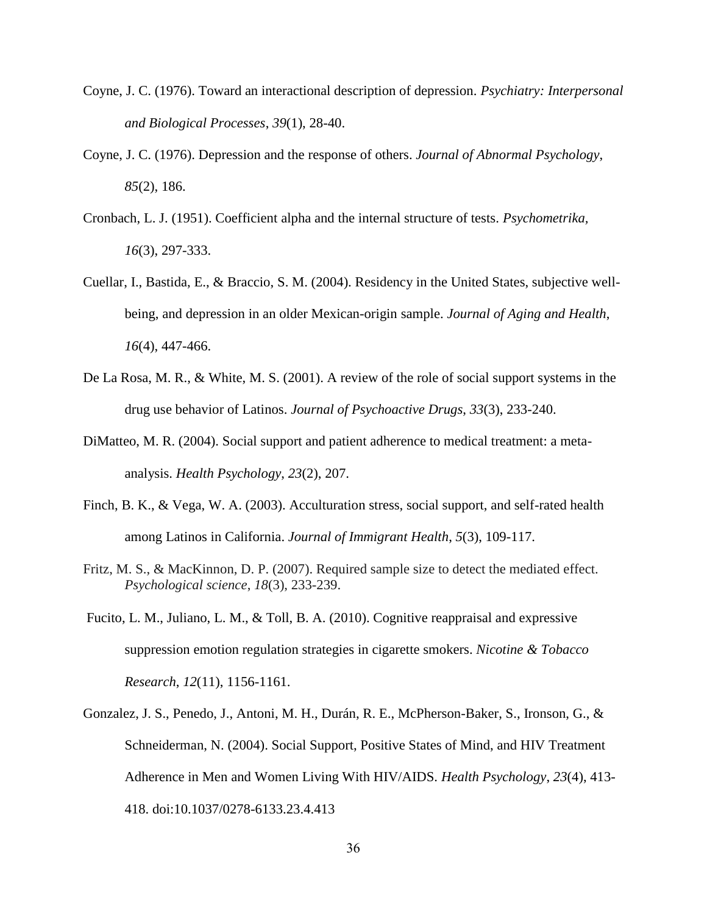- Coyne, J. C. (1976). Toward an interactional description of depression. *Psychiatry: Interpersonal and Biological Processes*, *39*(1), 28-40.
- Coyne, J. C. (1976). Depression and the response of others. *Journal of Abnormal Psychology*, *85*(2), 186.
- Cronbach, L. J. (1951). Coefficient alpha and the internal structure of tests. *Psychometrika, 16*(3), 297-333.
- Cuellar, I., Bastida, E., & Braccio, S. M. (2004). Residency in the United States, subjective wellbeing, and depression in an older Mexican-origin sample. *Journal of Aging and Health*, *16*(4), 447-466.
- De La Rosa, M. R., & White, M. S. (2001). A review of the role of social support systems in the drug use behavior of Latinos. *Journal of Psychoactive Drugs*, *33*(3), 233-240.
- DiMatteo, M. R. (2004). Social support and patient adherence to medical treatment: a metaanalysis. *Health Psychology*, *23*(2), 207.
- Finch, B. K., & Vega, W. A. (2003). Acculturation stress, social support, and self-rated health among Latinos in California. *Journal of Immigrant Health*, *5*(3), 109-117.
- Fritz, M. S., & MacKinnon, D. P. (2007). Required sample size to detect the mediated effect. *Psychological science*, *18*(3), 233-239.
- Fucito, L. M., Juliano, L. M., & Toll, B. A. (2010). Cognitive reappraisal and expressive suppression emotion regulation strategies in cigarette smokers. *Nicotine & Tobacco Research*, *12*(11), 1156-1161.
- Gonzalez, J. S., Penedo, J., Antoni, M. H., Durán, R. E., McPherson-Baker, S., Ironson, G., & Schneiderman, N. (2004). Social Support, Positive States of Mind, and HIV Treatment Adherence in Men and Women Living With HIV/AIDS. *Health Psychology*, *23*(4), 413- 418. doi:10.1037/0278-6133.23.4.413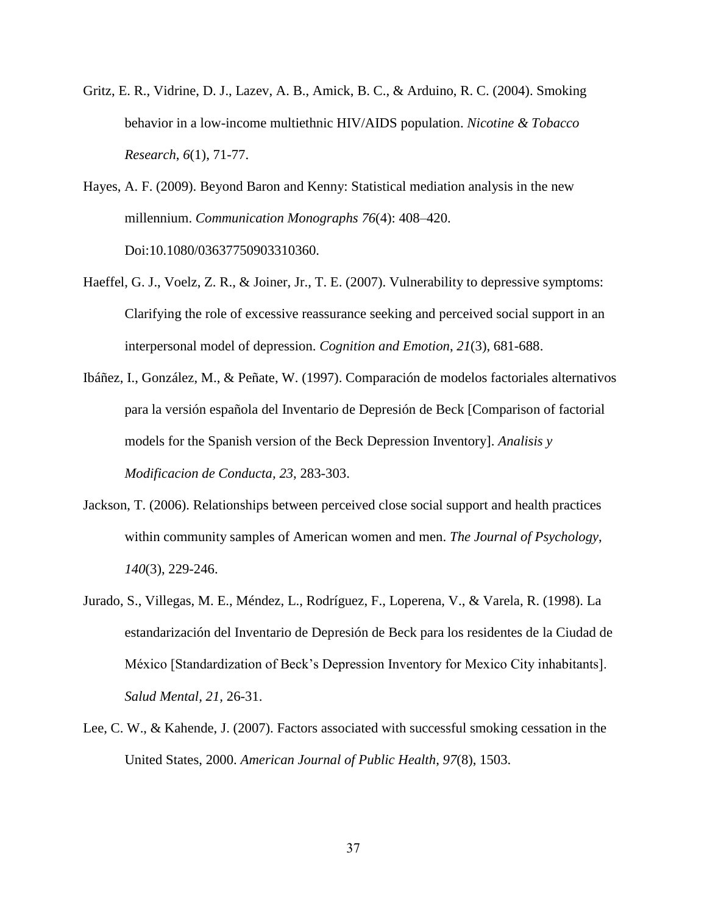- Gritz, E. R., Vidrine, D. J., Lazev, A. B., Amick, B. C., & Arduino, R. C. (2004). Smoking behavior in a low-income multiethnic HIV/AIDS population. *Nicotine & Tobacco Research*, *6*(1), 71-77.
- Hayes, A. F. (2009). Beyond Baron and Kenny: Statistical mediation analysis in the new millennium. *Communication Monographs 76*(4): 408–420. Doi:10.1080/03637750903310360.
- Haeffel, G. J., Voelz, Z. R., & Joiner, Jr., T. E. (2007). Vulnerability to depressive symptoms: Clarifying the role of excessive reassurance seeking and perceived social support in an interpersonal model of depression. *Cognition and Emotion*, *21*(3), 681-688.
- Ibáñez, I., González, M., & Peñate, W. (1997). Comparación de modelos factoriales alternativos para la versión española del Inventario de Depresión de Beck [Comparison of factorial models for the Spanish version of the Beck Depression Inventory]. *Analisis y Modificacion de Conducta, 23*, 283-303.
- Jackson, T. (2006). Relationships between perceived close social support and health practices within community samples of American women and men. *The Journal of Psychology*, *140*(3), 229-246.
- Jurado, S., Villegas, M. E., Méndez, L., Rodríguez, F., Loperena, V., & Varela, R. (1998). La estandarización del Inventario de Depresión de Beck para los residentes de la Ciudad de México [Standardization of Beck's Depression Inventory for Mexico City inhabitants]. *Salud Mental, 21,* 26-31.
- Lee, C. W., & Kahende, J. (2007). Factors associated with successful smoking cessation in the United States, 2000. *American Journal of Public Health*, *97*(8), 1503.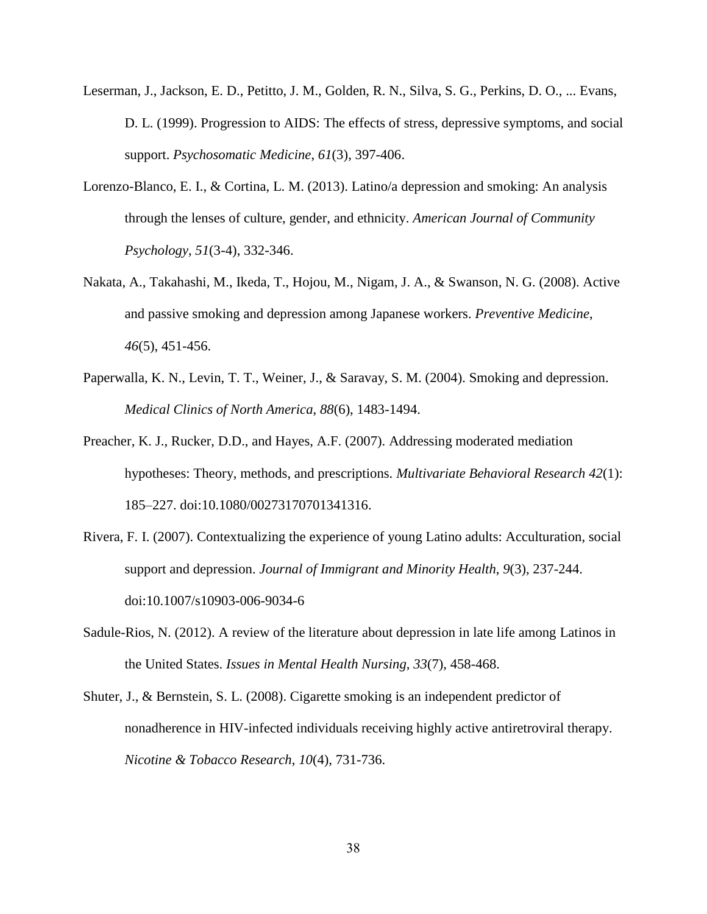- Leserman, J., Jackson, E. D., Petitto, J. M., Golden, R. N., Silva, S. G., Perkins, D. O., ... Evans, D. L. (1999). Progression to AIDS: The effects of stress, depressive symptoms, and social support. *Psychosomatic Medicine*, *61*(3), 397-406.
- Lorenzo-Blanco, E. I., & Cortina, L. M. (2013). Latino/a depression and smoking: An analysis through the lenses of culture, gender, and ethnicity. *American Journal of Community Psychology*, *51*(3-4), 332-346.
- Nakata, A., Takahashi, M., Ikeda, T., Hojou, M., Nigam, J. A., & Swanson, N. G. (2008). Active and passive smoking and depression among Japanese workers. *Preventive Medicine*, *46*(5), 451-456.
- Paperwalla, K. N., Levin, T. T., Weiner, J., & Saravay, S. M. (2004). Smoking and depression. *Medical Clinics of North America*, *88*(6), 1483-1494.
- Preacher, K. J., Rucker, D.D., and Hayes, A.F. (2007). Addressing moderated mediation hypotheses: Theory, methods, and prescriptions. *Multivariate Behavioral Research 42*(1): 185–227. doi:10.1080/00273170701341316.
- Rivera, F. I. (2007). Contextualizing the experience of young Latino adults: Acculturation, social support and depression. *Journal of Immigrant and Minority Health*, *9*(3), 237-244. doi:10.1007/s10903-006-9034-6
- Sadule-Rios, N. (2012). A review of the literature about depression in late life among Latinos in the United States. *Issues in Mental Health Nursing*, *33*(7), 458-468.
- Shuter, J., & Bernstein, S. L. (2008). Cigarette smoking is an independent predictor of nonadherence in HIV-infected individuals receiving highly active antiretroviral therapy. *Nicotine & Tobacco Research*, *10*(4), 731-736.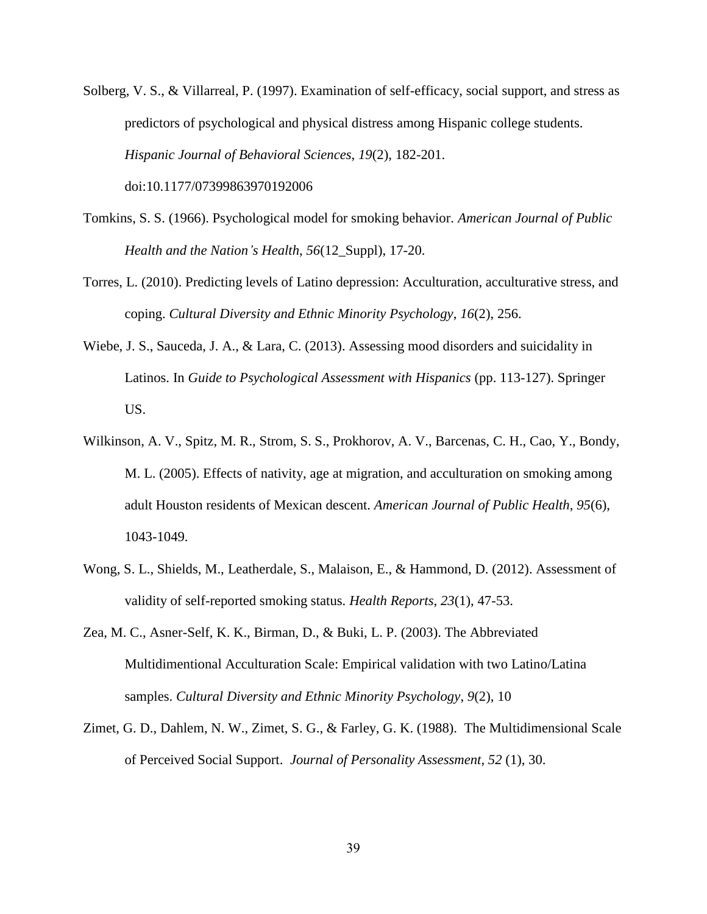Solberg, V. S., & Villarreal, P. (1997). Examination of self-efficacy, social support, and stress as predictors of psychological and physical distress among Hispanic college students. *Hispanic Journal of Behavioral Sciences*, *19*(2), 182-201. doi:10.1177/07399863970192006

- Tomkins, S. S. (1966). Psychological model for smoking behavior. *American Journal of Public Health and the Nation's Health*, *56*(12\_Suppl), 17-20.
- Torres, L. (2010). Predicting levels of Latino depression: Acculturation, acculturative stress, and coping. *Cultural Diversity and Ethnic Minority Psychology*, *16*(2), 256.
- Wiebe, J. S., Sauceda, J. A., & Lara, C. (2013). Assessing mood disorders and suicidality in Latinos. In *Guide to Psychological Assessment with Hispanics* (pp. 113-127). Springer US.
- Wilkinson, A. V., Spitz, M. R., Strom, S. S., Prokhorov, A. V., Barcenas, C. H., Cao, Y., Bondy, M. L. (2005). Effects of nativity, age at migration, and acculturation on smoking among adult Houston residents of Mexican descent. *American Journal of Public Health*, *95*(6), 1043-1049.
- Wong, S. L., Shields, M., Leatherdale, S., Malaison, E., & Hammond, D. (2012). Assessment of validity of self-reported smoking status. *Health Reports*, *23*(1), 47-53.
- Zea, M. C., Asner-Self, K. K., Birman, D., & Buki, L. P. (2003). The Abbreviated Multidimentional Acculturation Scale: Empirical validation with two Latino/Latina samples. *Cultural Diversity and Ethnic Minority Psychology*, *9*(2), 10
- Zimet, G. D., Dahlem, N. W., Zimet, S. G., & Farley, G. K. (1988). The Multidimensional Scale of Perceived Social Support. *Journal of Personality Assessment, 52* (1), 30.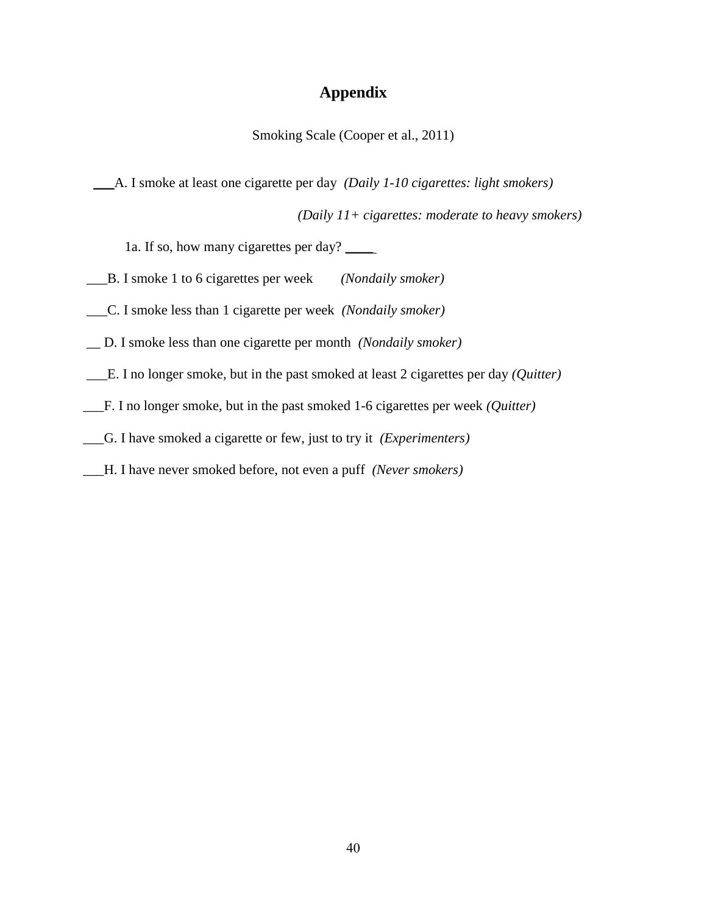## **Appendix**

Smoking Scale (Cooper et al., 2011)

\_\_\_A. I smoke at least one cigarette per day *(Daily 1-10 cigarettes: light smokers)*

*(Daily 11+ cigarettes: moderate to heavy smokers)*

1a. If so, how many cigarettes per day? \_\_\_\_\_\_

- \_\_\_B. I smoke 1 to 6 cigarettes per week *(Nondaily smoker)*
- \_\_\_C. I smoke less than 1 cigarette per week *(Nondaily smoker)*
- \_\_ D. I smoke less than one cigarette per month *(Nondaily smoker)*
- \_\_\_E. I no longer smoke, but in the past smoked at least 2 cigarettes per day *(Quitter)*
- \_\_\_F. I no longer smoke, but in the past smoked 1-6 cigarettes per week *(Quitter)*
- \_\_\_G. I have smoked a cigarette or few, just to try it *(Experimenters)*
- \_\_\_H. I have never smoked before, not even a puff *(Never smokers)*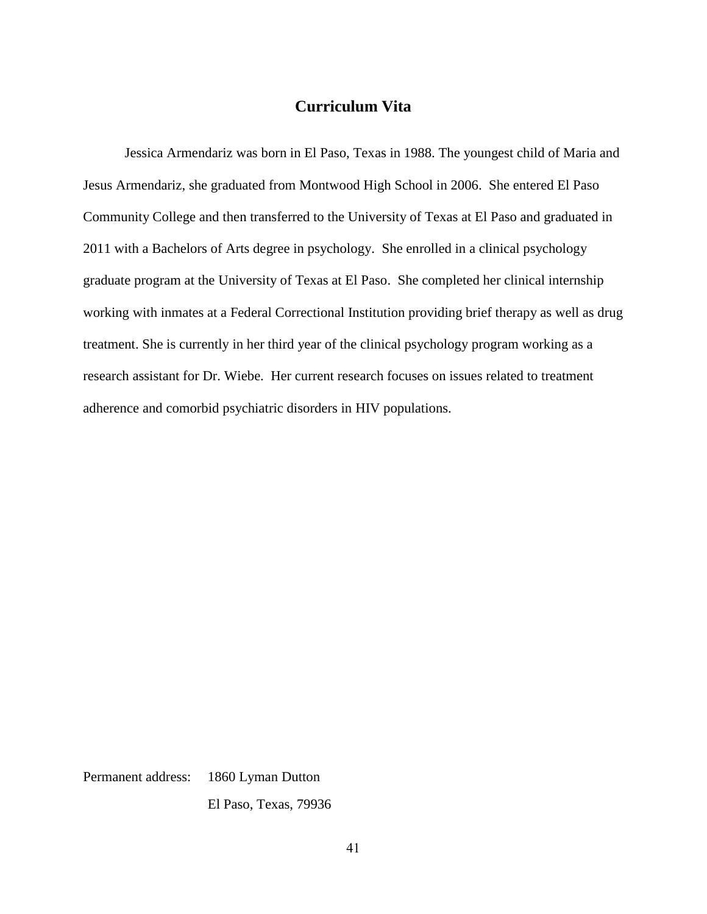## **Curriculum Vita**

Jessica Armendariz was born in El Paso, Texas in 1988. The youngest child of Maria and Jesus Armendariz, she graduated from Montwood High School in 2006. She entered El Paso Community College and then transferred to the University of Texas at El Paso and graduated in 2011 with a Bachelors of Arts degree in psychology. She enrolled in a clinical psychology graduate program at the University of Texas at El Paso. She completed her clinical internship working with inmates at a Federal Correctional Institution providing brief therapy as well as drug treatment. She is currently in her third year of the clinical psychology program working as a research assistant for Dr. Wiebe. Her current research focuses on issues related to treatment adherence and comorbid psychiatric disorders in HIV populations.

Permanent address: 1860 Lyman Dutton

El Paso, Texas, 79936